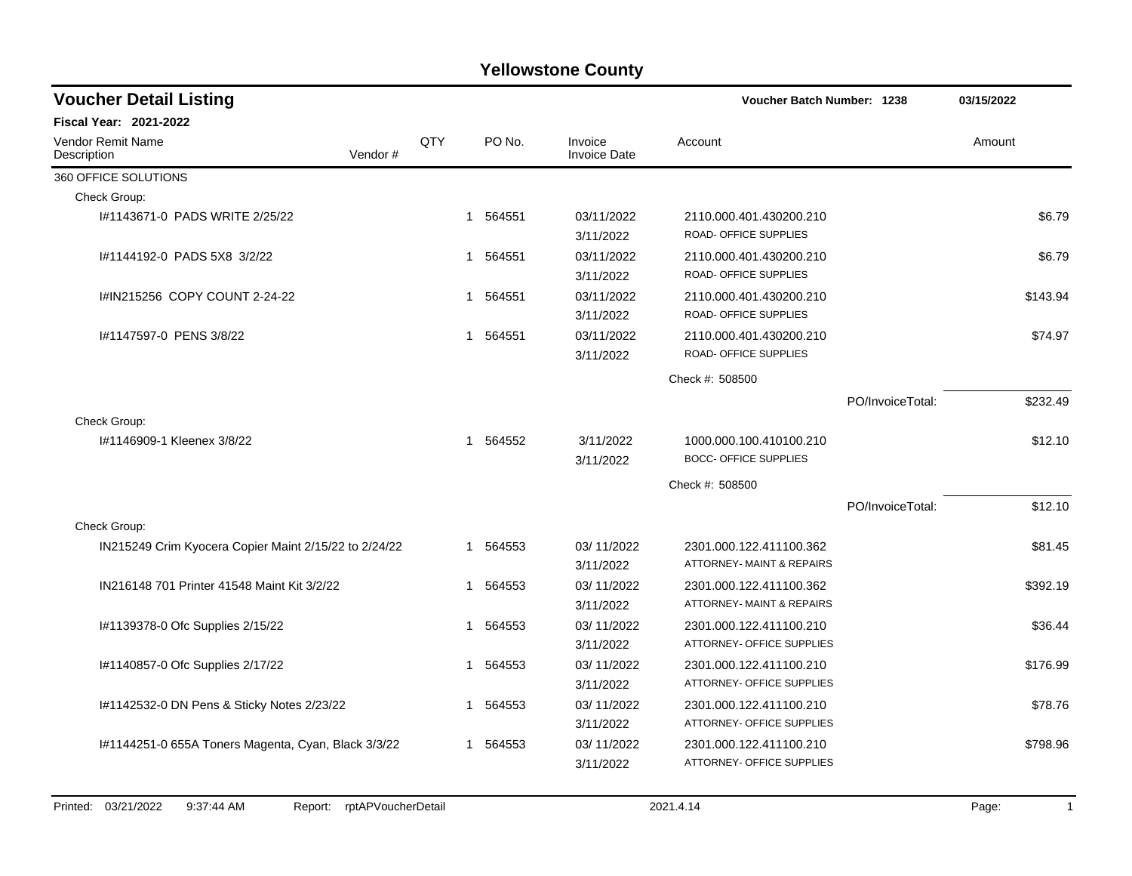| <b>Voucher Detail Listing</b>                         |     |          |                                | Voucher Batch Number: 1238                                      |                  | 03/15/2022 |
|-------------------------------------------------------|-----|----------|--------------------------------|-----------------------------------------------------------------|------------------|------------|
| <b>Fiscal Year: 2021-2022</b>                         |     |          |                                |                                                                 |                  |            |
| Vendor Remit Name<br>Vendor#<br>Description           | QTY | PO No.   | Invoice<br><b>Invoice Date</b> | Account                                                         |                  | Amount     |
| 360 OFFICE SOLUTIONS                                  |     |          |                                |                                                                 |                  |            |
| Check Group:                                          |     |          |                                |                                                                 |                  |            |
| #1143671-0 PADS WRITE 2/25/22                         |     | 1 564551 | 03/11/2022<br>3/11/2022        | 2110.000.401.430200.210<br>ROAD- OFFICE SUPPLIES                |                  | \$6.79     |
| I#1144192-0 PADS 5X8 3/2/22                           | 1   | 564551   | 03/11/2022<br>3/11/2022        | 2110.000.401.430200.210<br>ROAD- OFFICE SUPPLIES                |                  | \$6.79     |
| I#IN215256 COPY COUNT 2-24-22                         |     | 1 564551 | 03/11/2022<br>3/11/2022        | 2110.000.401.430200.210<br>ROAD- OFFICE SUPPLIES                |                  | \$143.94   |
| #1147597-0 PENS 3/8/22                                |     | 1 564551 | 03/11/2022<br>3/11/2022        | 2110.000.401.430200.210<br>ROAD- OFFICE SUPPLIES                |                  | \$74.97    |
|                                                       |     |          |                                | Check #: 508500                                                 |                  |            |
|                                                       |     |          |                                |                                                                 | PO/InvoiceTotal: | \$232.49   |
| Check Group:                                          |     |          |                                |                                                                 |                  |            |
| I#1146909-1 Kleenex 3/8/22                            |     | 1 564552 | 3/11/2022<br>3/11/2022         | 1000.000.100.410100.210<br><b>BOCC- OFFICE SUPPLIES</b>         |                  | \$12.10    |
|                                                       |     |          |                                | Check #: 508500                                                 |                  |            |
|                                                       |     |          |                                |                                                                 | PO/InvoiceTotal: | \$12.10    |
| Check Group:                                          |     |          |                                |                                                                 |                  |            |
| IN215249 Crim Kyocera Copier Maint 2/15/22 to 2/24/22 | 1   | 564553   | 03/11/2022<br>3/11/2022        | 2301.000.122.411100.362<br><b>ATTORNEY- MAINT &amp; REPAIRS</b> |                  | \$81.45    |
| IN216148 701 Printer 41548 Maint Kit 3/2/22           | 1   | 564553   | 03/11/2022<br>3/11/2022        | 2301.000.122.411100.362<br><b>ATTORNEY- MAINT &amp; REPAIRS</b> |                  | \$392.19   |
| I#1139378-0 Ofc Supplies 2/15/22                      | 1   | 564553   | 03/11/2022<br>3/11/2022        | 2301.000.122.411100.210<br>ATTORNEY- OFFICE SUPPLIES            |                  | \$36.44    |
| I#1140857-0 Ofc Supplies 2/17/22                      | 1   | 564553   | 03/11/2022<br>3/11/2022        | 2301.000.122.411100.210<br>ATTORNEY- OFFICE SUPPLIES            |                  | \$176.99   |
| I#1142532-0 DN Pens & Sticky Notes 2/23/22            | 1   | 564553   | 03/11/2022<br>3/11/2022        | 2301.000.122.411100.210<br>ATTORNEY- OFFICE SUPPLIES            |                  | \$78.76    |
| 1#1144251-0 655A Toners Magenta, Cyan, Black 3/3/22   | 1   | 564553   | 03/11/2022<br>3/11/2022        | 2301.000.122.411100.210<br>ATTORNEY- OFFICE SUPPLIES            |                  | \$798.96   |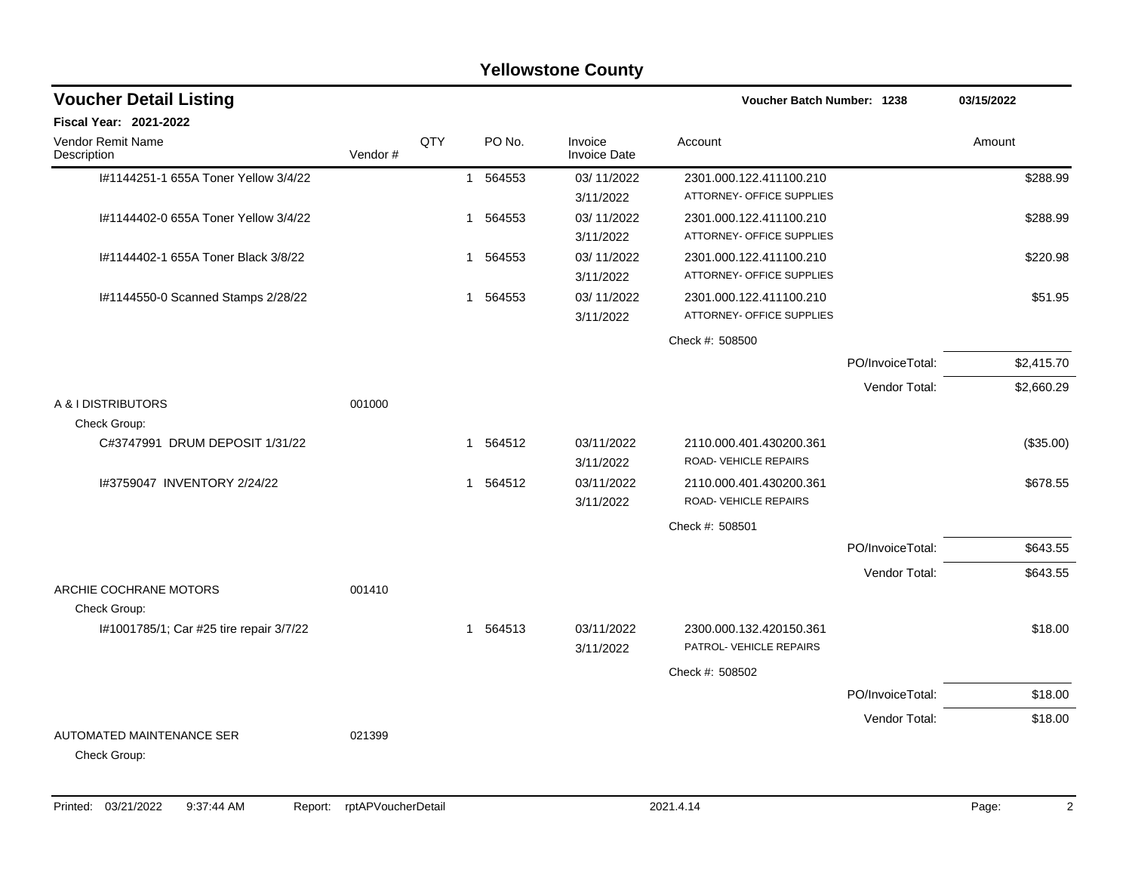|                                                         |         |     |                        | <b>Yellowstone County</b>      |                                                      |                  |            |
|---------------------------------------------------------|---------|-----|------------------------|--------------------------------|------------------------------------------------------|------------------|------------|
| <b>Voucher Detail Listing</b>                           |         |     |                        |                                | <b>Voucher Batch Number: 1238</b>                    |                  | 03/15/2022 |
| <b>Fiscal Year: 2021-2022</b>                           |         |     |                        |                                |                                                      |                  |            |
| Vendor Remit Name<br>Description                        | Vendor# | QTY | PO No.                 | Invoice<br><b>Invoice Date</b> | Account                                              |                  | Amount     |
| I#1144251-1 655A Toner Yellow 3/4/22                    |         |     | 1 564553               | 03/11/2022<br>3/11/2022        | 2301.000.122.411100.210<br>ATTORNEY- OFFICE SUPPLIES |                  | \$288.99   |
| I#1144402-0 655A Toner Yellow 3/4/22                    |         |     | 564553<br>$\mathbf{1}$ | 03/11/2022<br>3/11/2022        | 2301.000.122.411100.210<br>ATTORNEY- OFFICE SUPPLIES |                  | \$288.99   |
| I#1144402-1 655A Toner Black 3/8/22                     |         |     | 1 564553               | 03/11/2022<br>3/11/2022        | 2301.000.122.411100.210<br>ATTORNEY- OFFICE SUPPLIES |                  | \$220.98   |
| I#1144550-0 Scanned Stamps 2/28/22                      |         |     | 1 564553               | 03/11/2022<br>3/11/2022        | 2301.000.122.411100.210<br>ATTORNEY- OFFICE SUPPLIES |                  | \$51.95    |
|                                                         |         |     |                        |                                | Check #: 508500                                      |                  |            |
|                                                         |         |     |                        |                                |                                                      | PO/InvoiceTotal: | \$2,415.70 |
|                                                         |         |     |                        |                                |                                                      | Vendor Total:    | \$2,660.29 |
| A & I DISTRIBUTORS                                      | 001000  |     |                        |                                |                                                      |                  |            |
| Check Group:<br>C#3747991 DRUM DEPOSIT 1/31/22          |         |     | 564512<br>1            | 03/11/2022<br>3/11/2022        | 2110.000.401.430200.361<br>ROAD-VEHICLE REPAIRS      |                  | (\$35.00)  |
| 1#3759047 INVENTORY 2/24/22                             |         |     | 564512<br>$\mathbf{1}$ | 03/11/2022<br>3/11/2022        | 2110.000.401.430200.361<br>ROAD-VEHICLE REPAIRS      |                  | \$678.55   |
|                                                         |         |     |                        |                                | Check #: 508501                                      |                  |            |
|                                                         |         |     |                        |                                |                                                      | PO/InvoiceTotal: | \$643.55   |
| ARCHIE COCHRANE MOTORS                                  | 001410  |     |                        |                                |                                                      | Vendor Total:    | \$643.55   |
| Check Group:<br>I#1001785/1; Car #25 tire repair 3/7/22 |         |     | 1 564513               | 03/11/2022<br>3/11/2022        | 2300.000.132.420150.361<br>PATROL- VEHICLE REPAIRS   |                  | \$18.00    |
|                                                         |         |     |                        |                                | Check #: 508502                                      |                  |            |
|                                                         |         |     |                        |                                |                                                      | PO/InvoiceTotal: | \$18.00    |
|                                                         |         |     |                        |                                |                                                      | Vendor Total:    | \$18.00    |
| AUTOMATED MAINTENANCE SER<br>Check Group:               | 021399  |     |                        |                                |                                                      |                  |            |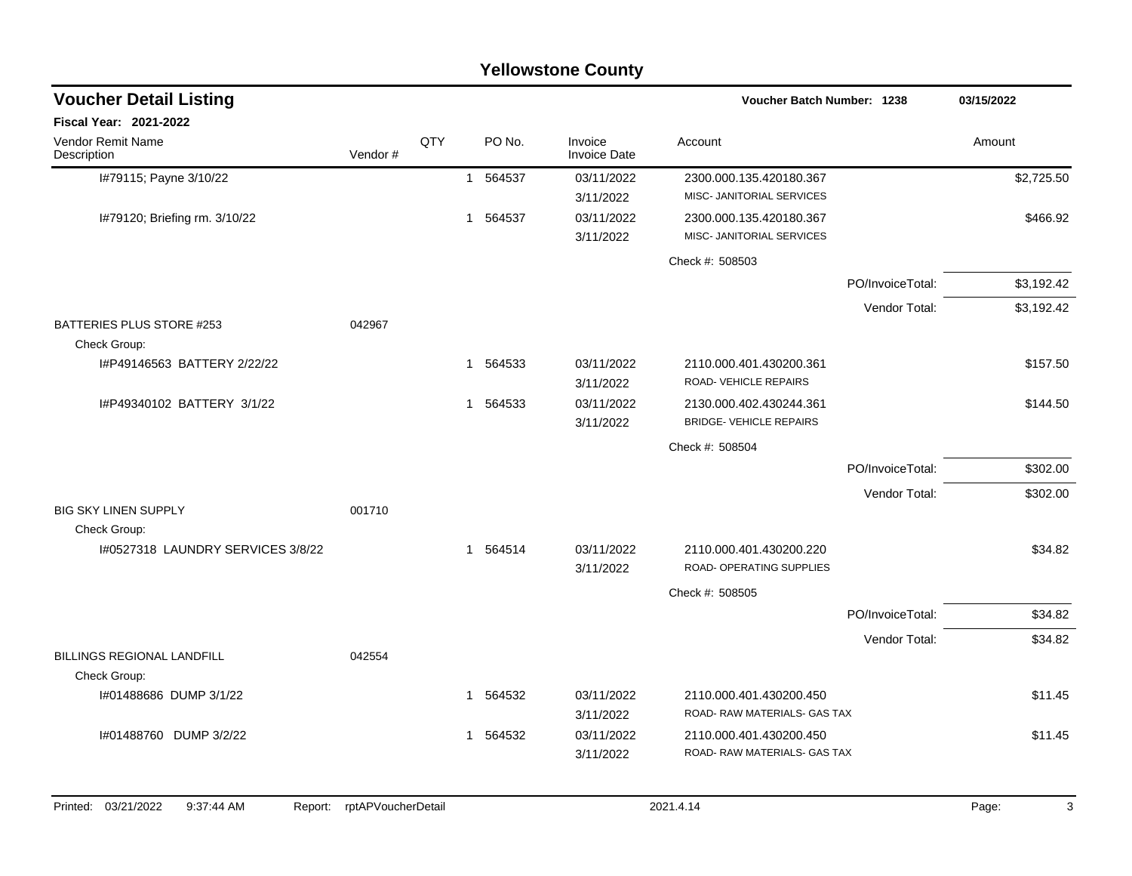|                                                   |                    |     |                        | <b>Yellowstone County</b>      |                                                           |                  |            |
|---------------------------------------------------|--------------------|-----|------------------------|--------------------------------|-----------------------------------------------------------|------------------|------------|
| <b>Voucher Detail Listing</b>                     |                    |     |                        |                                | Voucher Batch Number: 1238                                |                  | 03/15/2022 |
| <b>Fiscal Year: 2021-2022</b>                     |                    |     |                        |                                |                                                           |                  |            |
| Vendor Remit Name<br>Description                  | Vendor#            | QTY | PO No.                 | Invoice<br><b>Invoice Date</b> | Account                                                   |                  | Amount     |
| I#79115; Payne 3/10/22                            |                    |     | 564537<br>$\mathbf{1}$ | 03/11/2022<br>3/11/2022        | 2300.000.135.420180.367<br>MISC- JANITORIAL SERVICES      |                  | \$2,725.50 |
| I#79120; Briefing rm. 3/10/22                     |                    |     | 1 564537               | 03/11/2022<br>3/11/2022        | 2300.000.135.420180.367<br>MISC- JANITORIAL SERVICES      |                  | \$466.92   |
|                                                   |                    |     |                        |                                | Check #: 508503                                           |                  |            |
|                                                   |                    |     |                        |                                |                                                           | PO/InvoiceTotal: | \$3,192.42 |
|                                                   |                    |     |                        |                                |                                                           | Vendor Total:    | \$3,192.42 |
| BATTERIES PLUS STORE #253<br>Check Group:         | 042967             |     |                        |                                |                                                           |                  |            |
| I#P49146563 BATTERY 2/22/22                       |                    |     | 564533<br>$\mathbf{1}$ | 03/11/2022<br>3/11/2022        | 2110.000.401.430200.361<br><b>ROAD- VEHICLE REPAIRS</b>   |                  | \$157.50   |
| I#P49340102 BATTERY 3/1/22                        |                    |     | 564533<br>1            | 03/11/2022<br>3/11/2022        | 2130.000.402.430244.361<br><b>BRIDGE- VEHICLE REPAIRS</b> |                  | \$144.50   |
|                                                   |                    |     |                        |                                | Check #: 508504                                           |                  |            |
|                                                   |                    |     |                        |                                |                                                           | PO/InvoiceTotal: | \$302.00   |
|                                                   |                    |     |                        |                                |                                                           | Vendor Total:    | \$302.00   |
| <b>BIG SKY LINEN SUPPLY</b><br>Check Group:       | 001710             |     |                        |                                |                                                           |                  |            |
| I#0527318 LAUNDRY SERVICES 3/8/22                 |                    |     | 1 564514               | 03/11/2022<br>3/11/2022        | 2110.000.401.430200.220<br>ROAD- OPERATING SUPPLIES       |                  | \$34.82    |
|                                                   |                    |     |                        |                                | Check #: 508505                                           |                  |            |
|                                                   |                    |     |                        |                                |                                                           | PO/InvoiceTotal: | \$34.82    |
|                                                   |                    |     |                        |                                |                                                           | Vendor Total:    | \$34.82    |
| <b>BILLINGS REGIONAL LANDFILL</b><br>Check Group: | 042554             |     |                        |                                |                                                           |                  |            |
| I#01488686 DUMP 3/1/22                            |                    |     | 1 564532               | 03/11/2022<br>3/11/2022        | 2110.000.401.430200.450<br>ROAD- RAW MATERIALS- GAS TAX   |                  | \$11.45    |
| I#01488760 DUMP 3/2/22                            |                    |     | 1 564532               | 03/11/2022<br>3/11/2022        | 2110.000.401.430200.450<br>ROAD-RAW MATERIALS- GAS TAX    |                  | \$11.45    |
| Printed: 03/21/2022<br>9:37:44 AM<br>Report:      | rptAPVoucherDetail |     |                        |                                | 2021.4.14                                                 |                  | Page:<br>3 |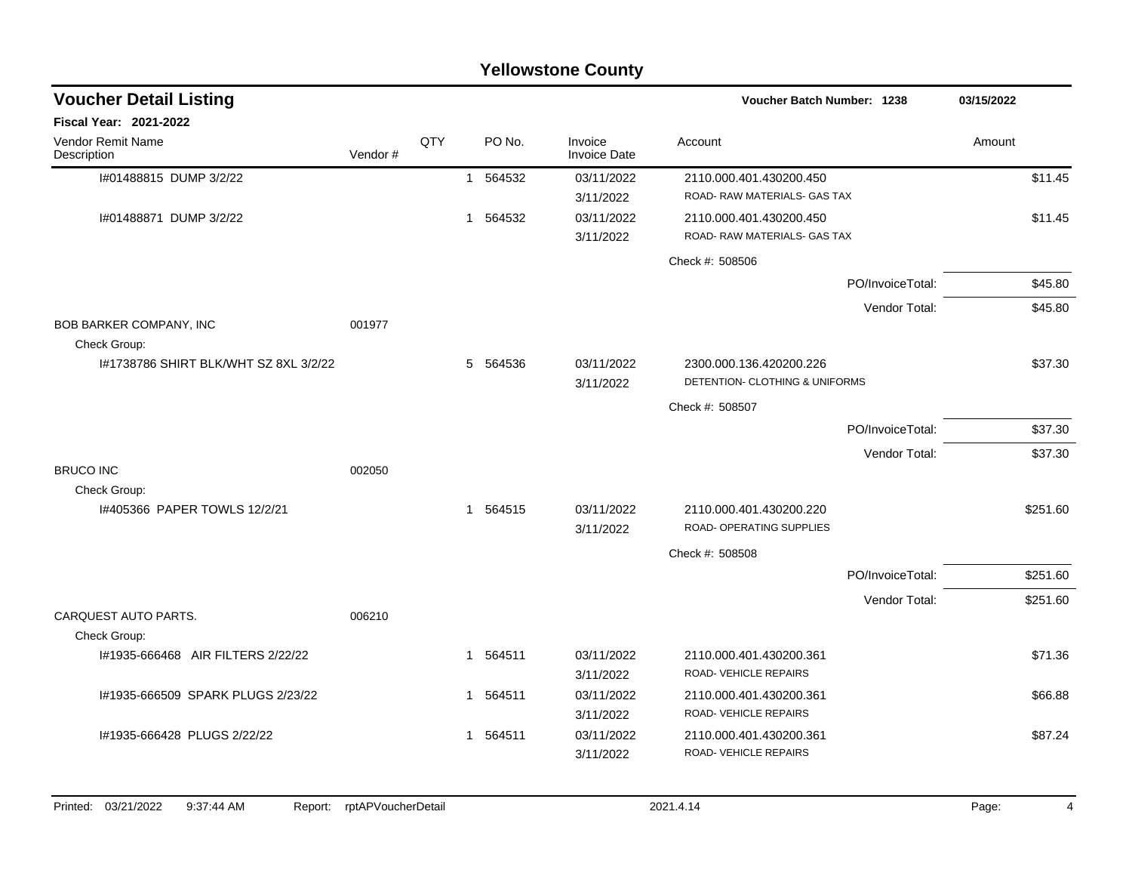|                                             |         |     |          | <b>Yellowstone County</b>      |                                                            |                  |            |          |
|---------------------------------------------|---------|-----|----------|--------------------------------|------------------------------------------------------------|------------------|------------|----------|
| <b>Voucher Detail Listing</b>               |         |     |          |                                | Voucher Batch Number: 1238                                 |                  | 03/15/2022 |          |
| <b>Fiscal Year: 2021-2022</b>               |         |     |          |                                |                                                            |                  |            |          |
| <b>Vendor Remit Name</b><br>Description     | Vendor# | QTY | PO No.   | Invoice<br><b>Invoice Date</b> | Account                                                    |                  | Amount     |          |
| I#01488815 DUMP 3/2/22                      |         |     | 1 564532 | 03/11/2022<br>3/11/2022        | 2110.000.401.430200.450<br>ROAD- RAW MATERIALS- GAS TAX    |                  |            | \$11.45  |
| I#01488871 DUMP 3/2/22                      |         |     | 1 564532 | 03/11/2022<br>3/11/2022        | 2110.000.401.430200.450<br>ROAD- RAW MATERIALS- GAS TAX    |                  |            | \$11.45  |
|                                             |         |     |          |                                | Check #: 508506                                            |                  |            |          |
|                                             |         |     |          |                                |                                                            | PO/InvoiceTotal: |            | \$45.80  |
|                                             |         |     |          |                                |                                                            | Vendor Total:    |            | \$45.80  |
| BOB BARKER COMPANY, INC<br>Check Group:     | 001977  |     |          |                                |                                                            |                  |            |          |
| 1#1738786 SHIRT BLK/WHT SZ 8XL 3/2/22       |         |     | 5 564536 | 03/11/2022<br>3/11/2022        | 2300.000.136.420200.226<br>DETENTION- CLOTHING & UNIFORMS  |                  |            | \$37.30  |
|                                             |         |     |          |                                | Check #: 508507                                            |                  |            |          |
|                                             |         |     |          |                                |                                                            | PO/InvoiceTotal: |            | \$37.30  |
|                                             |         |     |          |                                |                                                            | Vendor Total:    |            | \$37.30  |
| <b>BRUCO INC</b><br>Check Group:            | 002050  |     |          |                                |                                                            |                  |            |          |
| 1#405366 PAPER TOWLS 12/2/21                |         |     | 1 564515 | 03/11/2022<br>3/11/2022        | 2110.000.401.430200.220<br><b>ROAD- OPERATING SUPPLIES</b> |                  |            | \$251.60 |
|                                             |         |     |          |                                | Check #: 508508                                            |                  |            |          |
|                                             |         |     |          |                                |                                                            | PO/InvoiceTotal: |            | \$251.60 |
|                                             |         |     |          |                                |                                                            | Vendor Total:    |            | \$251.60 |
| <b>CARQUEST AUTO PARTS.</b><br>Check Group: | 006210  |     |          |                                |                                                            |                  |            |          |
| I#1935-666468 AIR FILTERS 2/22/22           |         |     | 1 564511 | 03/11/2022<br>3/11/2022        | 2110.000.401.430200.361<br>ROAD-VEHICLE REPAIRS            |                  |            | \$71.36  |
| I#1935-666509 SPARK PLUGS 2/23/22           |         |     | 1 564511 | 03/11/2022<br>3/11/2022        | 2110.000.401.430200.361<br>ROAD-VEHICLE REPAIRS            |                  |            | \$66.88  |
| I#1935-666428 PLUGS 2/22/22                 |         |     | 1 564511 | 03/11/2022<br>3/11/2022        | 2110.000.401.430200.361<br>ROAD-VEHICLE REPAIRS            |                  |            | \$87.24  |
|                                             |         |     |          |                                |                                                            |                  |            |          |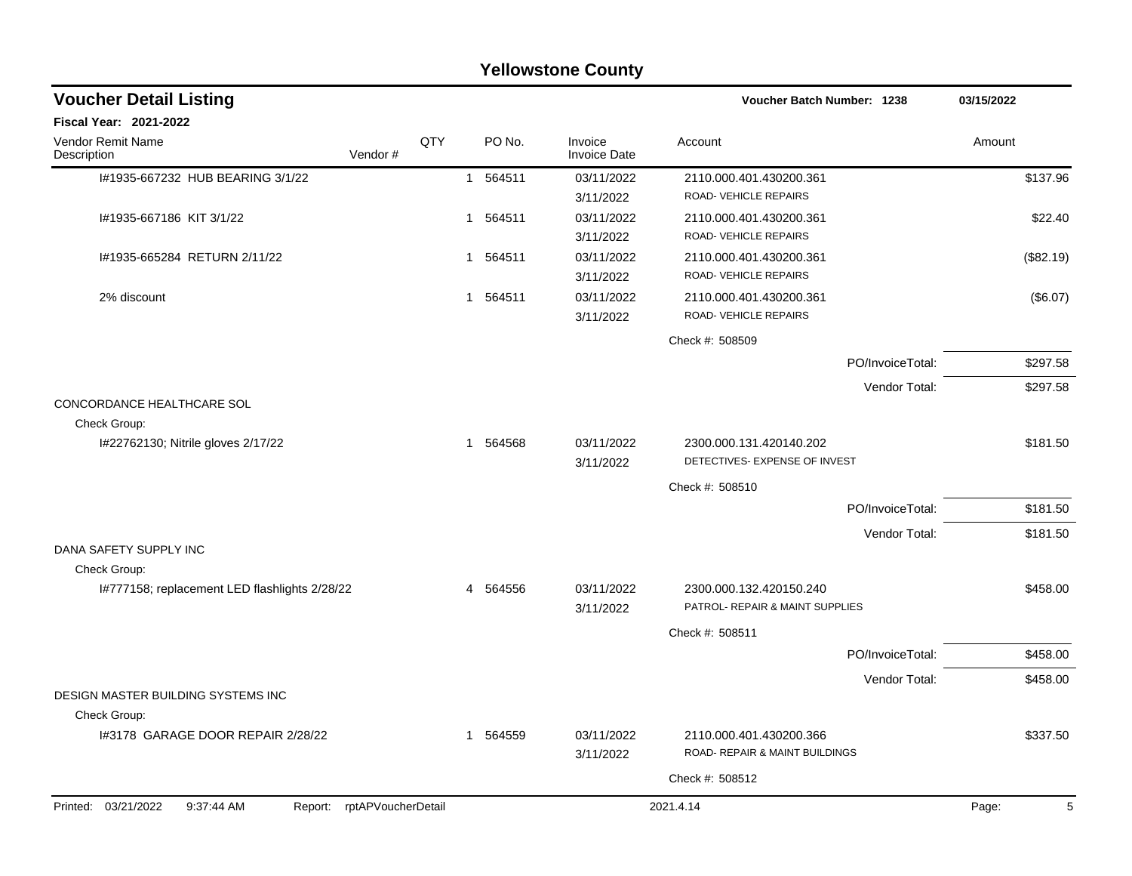|                                                                    |     |   |          | <b>Yellowstone County</b>      |                                           |                  |            |
|--------------------------------------------------------------------|-----|---|----------|--------------------------------|-------------------------------------------|------------------|------------|
| <b>Voucher Detail Listing</b>                                      |     |   |          |                                | Voucher Batch Number: 1238                |                  | 03/15/2022 |
| <b>Fiscal Year: 2021-2022</b>                                      |     |   |          |                                |                                           |                  |            |
| Vendor Remit Name<br>Vendor#<br>Description                        | QTY |   | PO No.   | Invoice<br><b>Invoice Date</b> | Account                                   |                  | Amount     |
| I#1935-667232 HUB BEARING 3/1/22                                   |     | 1 | 564511   | 03/11/2022                     | 2110.000.401.430200.361                   |                  | \$137.96   |
|                                                                    |     |   |          | 3/11/2022                      | ROAD-VEHICLE REPAIRS                      |                  |            |
| I#1935-667186 KIT 3/1/22                                           |     |   | 1 564511 | 03/11/2022                     | 2110.000.401.430200.361                   |                  | \$22.40    |
|                                                                    |     |   |          | 3/11/2022                      | ROAD-VEHICLE REPAIRS                      |                  |            |
| I#1935-665284 RETURN 2/11/22                                       |     | 1 | 564511   | 03/11/2022                     | 2110.000.401.430200.361                   |                  | (\$82.19)  |
|                                                                    |     |   |          | 3/11/2022                      | ROAD-VEHICLE REPAIRS                      |                  |            |
| 2% discount                                                        |     |   | 1 564511 | 03/11/2022                     | 2110.000.401.430200.361                   |                  | (\$6.07)   |
|                                                                    |     |   |          | 3/11/2022                      | ROAD-VEHICLE REPAIRS                      |                  |            |
|                                                                    |     |   |          |                                | Check #: 508509                           |                  |            |
|                                                                    |     |   |          |                                |                                           | PO/InvoiceTotal: | \$297.58   |
|                                                                    |     |   |          |                                |                                           | Vendor Total:    | \$297.58   |
| CONCORDANCE HEALTHCARE SOL                                         |     |   |          |                                |                                           |                  |            |
| Check Group:                                                       |     |   |          |                                |                                           |                  |            |
| I#22762130; Nitrile gloves 2/17/22                                 |     |   | 1 564568 | 03/11/2022                     | 2300.000.131.420140.202                   |                  | \$181.50   |
|                                                                    |     |   |          | 3/11/2022                      | DETECTIVES- EXPENSE OF INVEST             |                  |            |
|                                                                    |     |   |          |                                | Check #: 508510                           |                  |            |
|                                                                    |     |   |          |                                |                                           | PO/InvoiceTotal: | \$181.50   |
|                                                                    |     |   |          |                                |                                           | Vendor Total:    | \$181.50   |
| DANA SAFETY SUPPLY INC                                             |     |   |          |                                |                                           |                  |            |
| Check Group:                                                       |     |   |          |                                |                                           |                  |            |
| I#777158; replacement LED flashlights 2/28/22                      |     |   | 4 564556 | 03/11/2022                     | 2300.000.132.420150.240                   |                  | \$458.00   |
|                                                                    |     |   |          | 3/11/2022                      | PATROL- REPAIR & MAINT SUPPLIES           |                  |            |
|                                                                    |     |   |          |                                | Check #: 508511                           |                  |            |
|                                                                    |     |   |          |                                |                                           | PO/InvoiceTotal: | \$458.00   |
|                                                                    |     |   |          |                                |                                           | Vendor Total:    | \$458.00   |
| DESIGN MASTER BUILDING SYSTEMS INC                                 |     |   |          |                                |                                           |                  |            |
| Check Group:                                                       |     |   |          |                                |                                           |                  |            |
| 1#3178 GARAGE DOOR REPAIR 2/28/22                                  |     |   | 1 564559 | 03/11/2022                     | 2110.000.401.430200.366                   |                  | \$337.50   |
|                                                                    |     |   |          | 3/11/2022                      | <b>ROAD- REPAIR &amp; MAINT BUILDINGS</b> |                  |            |
|                                                                    |     |   |          |                                | Check #: 508512                           |                  |            |
| Printed: 03/21/2022<br>9:37:44 AM<br>rptAPVoucherDetail<br>Report: |     |   |          |                                | 2021.4.14                                 |                  | Page:      |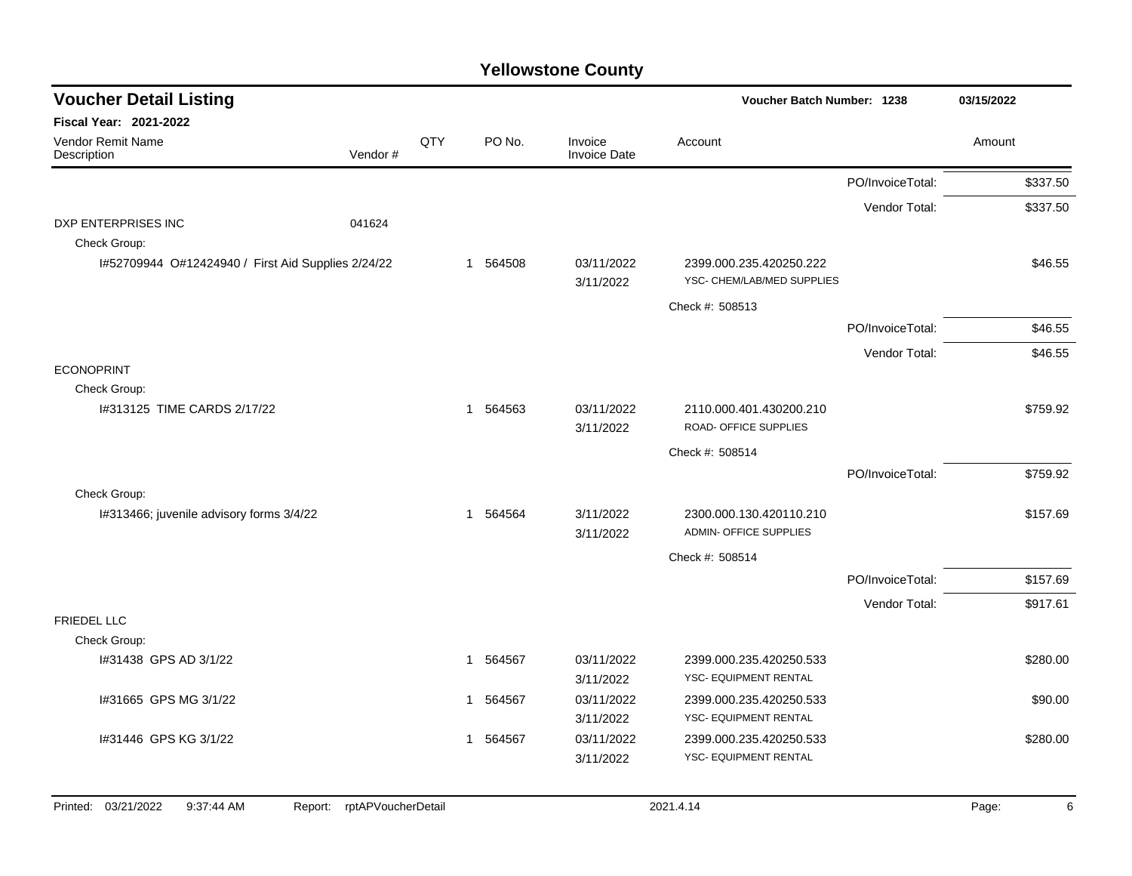| <b>Voucher Detail Listing</b>                      |                               |     |             |                                | Voucher Batch Number: 1238                               |                  | 03/15/2022 |
|----------------------------------------------------|-------------------------------|-----|-------------|--------------------------------|----------------------------------------------------------|------------------|------------|
| Fiscal Year: 2021-2022                             |                               |     |             |                                |                                                          |                  |            |
| Vendor Remit Name<br>Description                   | Vendor#                       | QTY | PO No.      | Invoice<br><b>Invoice Date</b> | Account                                                  |                  | Amount     |
|                                                    |                               |     |             |                                |                                                          | PO/InvoiceTotal: | \$337.50   |
|                                                    |                               |     |             |                                |                                                          | Vendor Total:    | \$337.50   |
| <b>DXP ENTERPRISES INC</b><br>Check Group:         | 041624                        |     |             |                                |                                                          |                  |            |
| I#52709944 O#12424940 / First Aid Supplies 2/24/22 |                               |     | 1 564508    | 03/11/2022<br>3/11/2022        | 2399.000.235.420250.222<br>YSC- CHEM/LAB/MED SUPPLIES    |                  | \$46.55    |
|                                                    |                               |     |             |                                | Check #: 508513                                          |                  |            |
|                                                    |                               |     |             |                                |                                                          | PO/InvoiceTotal: | \$46.55    |
|                                                    |                               |     |             |                                |                                                          | Vendor Total:    | \$46.55    |
| <b>ECONOPRINT</b>                                  |                               |     |             |                                |                                                          |                  |            |
| Check Group:                                       |                               |     |             |                                |                                                          |                  |            |
| 1#313125 TIME CARDS 2/17/22                        |                               |     | 1 564563    | 03/11/2022<br>3/11/2022        | 2110.000.401.430200.210<br>ROAD- OFFICE SUPPLIES         |                  | \$759.92   |
|                                                    |                               |     |             |                                | Check #: 508514                                          |                  |            |
|                                                    |                               |     |             |                                |                                                          | PO/InvoiceTotal: | \$759.92   |
| Check Group:                                       |                               |     |             |                                |                                                          |                  |            |
| I#313466; juvenile advisory forms 3/4/22           |                               |     | 564564<br>1 | 3/11/2022<br>3/11/2022         | 2300.000.130.420110.210<br><b>ADMIN- OFFICE SUPPLIES</b> |                  | \$157.69   |
|                                                    |                               |     |             |                                | Check #: 508514                                          |                  |            |
|                                                    |                               |     |             |                                |                                                          | PO/InvoiceTotal: | \$157.69   |
|                                                    |                               |     |             |                                |                                                          | Vendor Total:    | \$917.61   |
| FRIEDEL LLC                                        |                               |     |             |                                |                                                          |                  |            |
| Check Group:                                       |                               |     |             |                                |                                                          |                  |            |
| I#31438 GPS AD 3/1/22                              |                               |     | 564567<br>1 | 03/11/2022                     | 2399.000.235.420250.533                                  |                  | \$280.00   |
|                                                    |                               |     |             | 3/11/2022                      | YSC- EQUIPMENT RENTAL                                    |                  |            |
| I#31665 GPS MG 3/1/22                              |                               |     | 564567<br>1 | 03/11/2022                     | 2399.000.235.420250.533                                  |                  | \$90.00    |
|                                                    |                               |     |             | 3/11/2022                      | YSC- EQUIPMENT RENTAL                                    |                  |            |
| I#31446 GPS KG 3/1/22                              |                               |     | 1 564567    | 03/11/2022                     | 2399.000.235.420250.533<br>YSC- EQUIPMENT RENTAL         |                  | \$280.00   |
|                                                    |                               |     |             | 3/11/2022                      |                                                          |                  |            |
|                                                    |                               |     |             |                                |                                                          |                  |            |
| Printed: 03/21/2022<br>9:37:44 AM                  | rptAPVoucherDetail<br>Report: |     |             |                                | 2021.4.14                                                |                  | 6<br>Page: |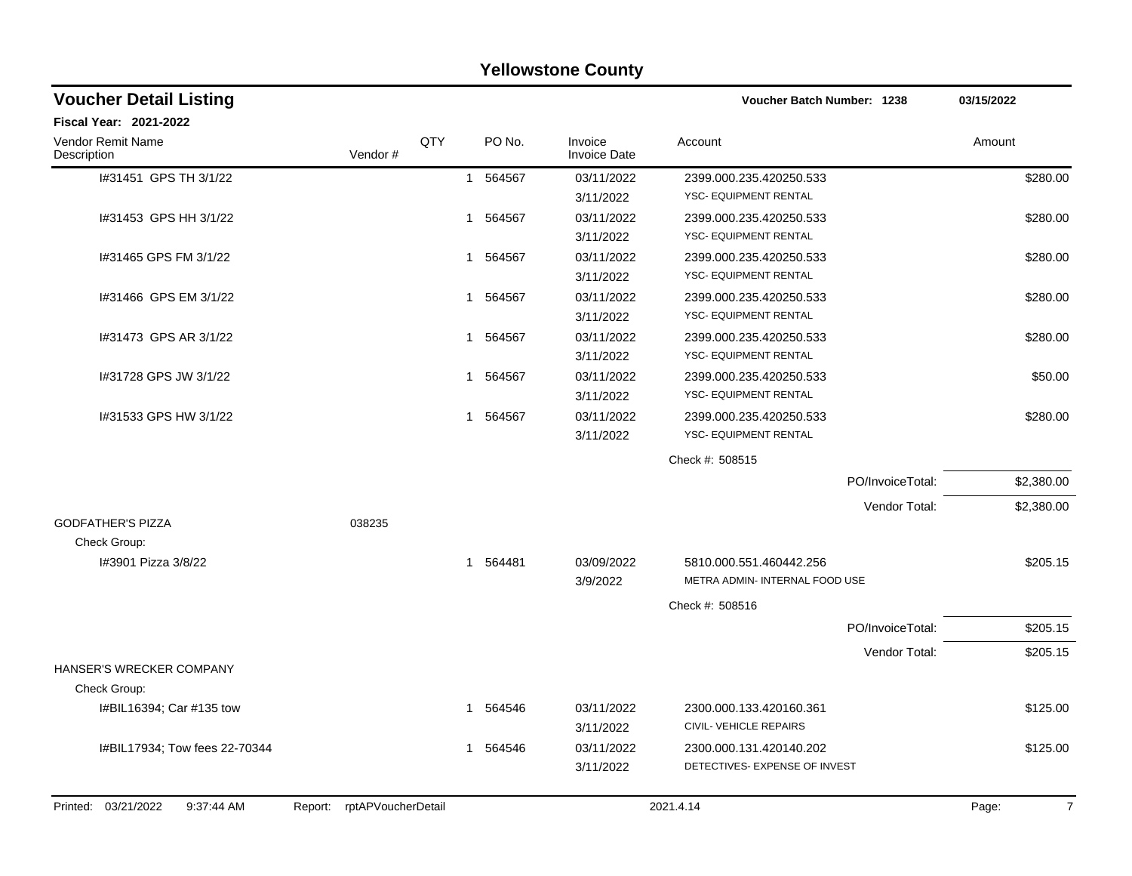|                                   |                            |     |                        | <b>Yellowstone County</b>      |                                   |                  |            |
|-----------------------------------|----------------------------|-----|------------------------|--------------------------------|-----------------------------------|------------------|------------|
| <b>Voucher Detail Listing</b>     |                            |     |                        |                                | <b>Voucher Batch Number: 1238</b> |                  | 03/15/2022 |
| Fiscal Year: 2021-2022            |                            |     |                        |                                |                                   |                  |            |
| Vendor Remit Name<br>Description  | Vendor#                    | QTY | PO No.                 | Invoice<br><b>Invoice Date</b> | Account                           |                  | Amount     |
| I#31451 GPS TH 3/1/22             |                            |     | 564567<br>$\mathbf{1}$ | 03/11/2022                     | 2399.000.235.420250.533           |                  | \$280.00   |
|                                   |                            |     |                        | 3/11/2022                      | <b>YSC- EQUIPMENT RENTAL</b>      |                  |            |
| I#31453 GPS HH 3/1/22             |                            |     | 564567<br>1            | 03/11/2022                     | 2399.000.235.420250.533           |                  | \$280.00   |
|                                   |                            |     |                        | 3/11/2022                      | <b>YSC- EQUIPMENT RENTAL</b>      |                  |            |
| I#31465 GPS FM 3/1/22             |                            |     | 564567<br>1            | 03/11/2022                     | 2399.000.235.420250.533           |                  | \$280.00   |
|                                   |                            |     |                        | 3/11/2022                      | YSC- EQUIPMENT RENTAL             |                  |            |
| I#31466 GPS EM 3/1/22             |                            | 1   | 564567                 | 03/11/2022                     | 2399.000.235.420250.533           |                  | \$280.00   |
|                                   |                            |     |                        | 3/11/2022                      | YSC- EQUIPMENT RENTAL             |                  |            |
| I#31473 GPS AR 3/1/22             |                            |     | 1 564567               | 03/11/2022                     | 2399.000.235.420250.533           |                  | \$280.00   |
|                                   |                            |     |                        | 3/11/2022                      | YSC- EQUIPMENT RENTAL             |                  |            |
| I#31728 GPS JW 3/1/22             |                            | 1   | 564567                 | 03/11/2022                     | 2399.000.235.420250.533           |                  | \$50.00    |
|                                   |                            |     |                        | 3/11/2022                      | YSC- EQUIPMENT RENTAL             |                  |            |
| I#31533 GPS HW 3/1/22             |                            |     | 1 564567               | 03/11/2022                     | 2399.000.235.420250.533           |                  | \$280.00   |
|                                   |                            |     |                        | 3/11/2022                      | <b>YSC- EQUIPMENT RENTAL</b>      |                  |            |
|                                   |                            |     |                        |                                | Check #: 508515                   |                  |            |
|                                   |                            |     |                        |                                |                                   | PO/InvoiceTotal: | \$2,380.00 |
|                                   |                            |     |                        |                                |                                   | Vendor Total:    | \$2,380.00 |
| <b>GODFATHER'S PIZZA</b>          | 038235                     |     |                        |                                |                                   |                  |            |
| Check Group:                      |                            |     |                        |                                |                                   |                  |            |
| I#3901 Pizza 3/8/22               |                            |     | 1 564481               | 03/09/2022                     | 5810.000.551.460442.256           |                  | \$205.15   |
|                                   |                            |     |                        | 3/9/2022                       | METRA ADMIN- INTERNAL FOOD USE    |                  |            |
|                                   |                            |     |                        |                                | Check #: 508516                   |                  |            |
|                                   |                            |     |                        |                                |                                   | PO/InvoiceTotal: | \$205.15   |
|                                   |                            |     |                        |                                |                                   | Vendor Total:    | \$205.15   |
| HANSER'S WRECKER COMPANY          |                            |     |                        |                                |                                   |                  |            |
| Check Group:                      |                            |     |                        |                                |                                   |                  |            |
| I#BIL16394; Car #135 tow          |                            |     | 1 564546               | 03/11/2022                     | 2300.000.133.420160.361           |                  | \$125.00   |
|                                   |                            |     |                        | 3/11/2022                      | CIVIL- VEHICLE REPAIRS            |                  |            |
| I#BIL17934; Tow fees 22-70344     |                            |     | 1 564546               | 03/11/2022                     | 2300.000.131.420140.202           |                  | \$125.00   |
|                                   |                            |     |                        | 3/11/2022                      | DETECTIVES- EXPENSE OF INVEST     |                  |            |
| Printed: 03/21/2022<br>9:37:44 AM | Report: rptAPVoucherDetail |     |                        |                                | 2021.4.14                         |                  | 7<br>Page: |
|                                   |                            |     |                        |                                |                                   |                  |            |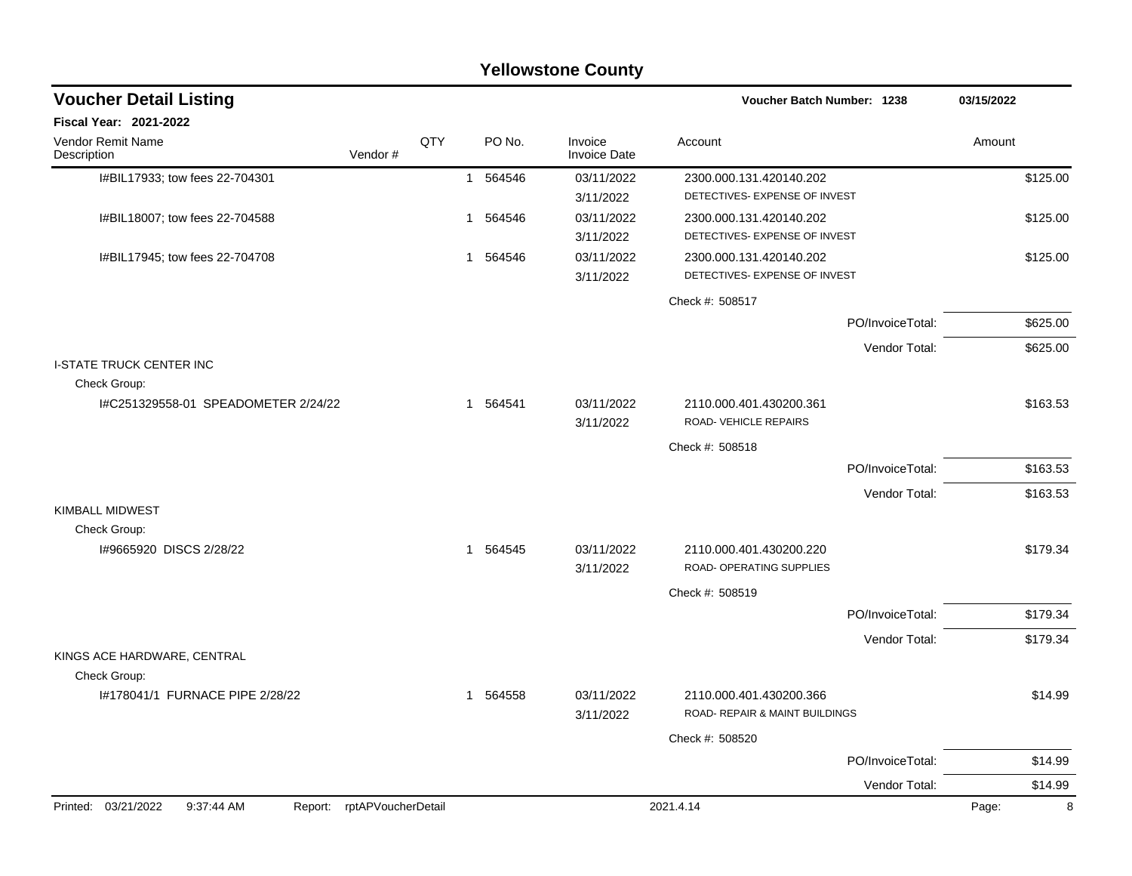|                                                 |                    |     |              |          | Yellowstone County             |                                                     |                  |            |          |
|-------------------------------------------------|--------------------|-----|--------------|----------|--------------------------------|-----------------------------------------------------|------------------|------------|----------|
| <b>Voucher Detail Listing</b>                   |                    |     |              |          |                                | Voucher Batch Number: 1238                          |                  | 03/15/2022 |          |
| Fiscal Year: 2021-2022                          |                    |     |              |          |                                |                                                     |                  |            |          |
| Vendor Remit Name<br>Description                | Vendor#            | QTY |              | PO No.   | Invoice<br><b>Invoice Date</b> | Account                                             |                  | Amount     |          |
| I#BIL17933; tow fees 22-704301                  |                    |     | $\mathbf{1}$ | 564546   | 03/11/2022                     | 2300.000.131.420140.202                             |                  |            | \$125.00 |
|                                                 |                    |     |              |          | 3/11/2022                      | DETECTIVES- EXPENSE OF INVEST                       |                  |            |          |
| I#BIL18007; tow fees 22-704588                  |                    |     | $\mathbf{1}$ | 564546   | 03/11/2022                     | 2300.000.131.420140.202                             |                  |            | \$125.00 |
|                                                 |                    |     |              |          | 3/11/2022                      | DETECTIVES- EXPENSE OF INVEST                       |                  |            |          |
| I#BIL17945; tow fees 22-704708                  |                    |     | $\mathbf{1}$ | 564546   | 03/11/2022                     | 2300.000.131.420140.202                             |                  |            | \$125.00 |
|                                                 |                    |     |              |          | 3/11/2022                      | DETECTIVES- EXPENSE OF INVEST                       |                  |            |          |
|                                                 |                    |     |              |          |                                | Check #: 508517                                     |                  |            |          |
|                                                 |                    |     |              |          |                                |                                                     | PO/InvoiceTotal: |            | \$625.00 |
|                                                 |                    |     |              |          |                                |                                                     | Vendor Total:    |            | \$625.00 |
| <b>I-STATE TRUCK CENTER INC</b><br>Check Group: |                    |     |              |          |                                |                                                     |                  |            |          |
| I#C251329558-01 SPEADOMETER 2/24/22             |                    |     |              | 1 564541 | 03/11/2022                     | 2110.000.401.430200.361                             |                  |            | \$163.53 |
|                                                 |                    |     |              |          | 3/11/2022                      | ROAD-VEHICLE REPAIRS                                |                  |            |          |
|                                                 |                    |     |              |          |                                | Check #: 508518                                     |                  |            |          |
|                                                 |                    |     |              |          |                                |                                                     | PO/InvoiceTotal: |            | \$163.53 |
|                                                 |                    |     |              |          |                                |                                                     | Vendor Total:    |            | \$163.53 |
| <b>KIMBALL MIDWEST</b>                          |                    |     |              |          |                                |                                                     |                  |            |          |
| Check Group:                                    |                    |     |              |          |                                |                                                     |                  |            |          |
| 1#9665920 DISCS 2/28/22                         |                    |     |              | 1 564545 | 03/11/2022                     | 2110.000.401.430200.220<br>ROAD- OPERATING SUPPLIES |                  |            | \$179.34 |
|                                                 |                    |     |              |          | 3/11/2022                      |                                                     |                  |            |          |
|                                                 |                    |     |              |          |                                | Check #: 508519                                     |                  |            |          |
|                                                 |                    |     |              |          |                                |                                                     | PO/InvoiceTotal: |            | \$179.34 |
| KINGS ACE HARDWARE, CENTRAL                     |                    |     |              |          |                                |                                                     | Vendor Total:    |            | \$179.34 |
| Check Group:                                    |                    |     |              |          |                                |                                                     |                  |            |          |
| 1#178041/1 FURNACE PIPE 2/28/22                 |                    |     |              | 1 564558 | 03/11/2022                     | 2110.000.401.430200.366                             |                  |            | \$14.99  |
|                                                 |                    |     |              |          | 3/11/2022                      | ROAD- REPAIR & MAINT BUILDINGS                      |                  |            |          |
|                                                 |                    |     |              |          |                                | Check #: 508520                                     |                  |            |          |
|                                                 |                    |     |              |          |                                |                                                     | PO/InvoiceTotal: |            | \$14.99  |
|                                                 |                    |     |              |          |                                |                                                     | Vendor Total:    |            | \$14.99  |
| Printed: 03/21/2022<br>9:37:44 AM<br>Report:    | rptAPVoucherDetail |     |              |          |                                | 2021.4.14                                           |                  | Page:      | 8        |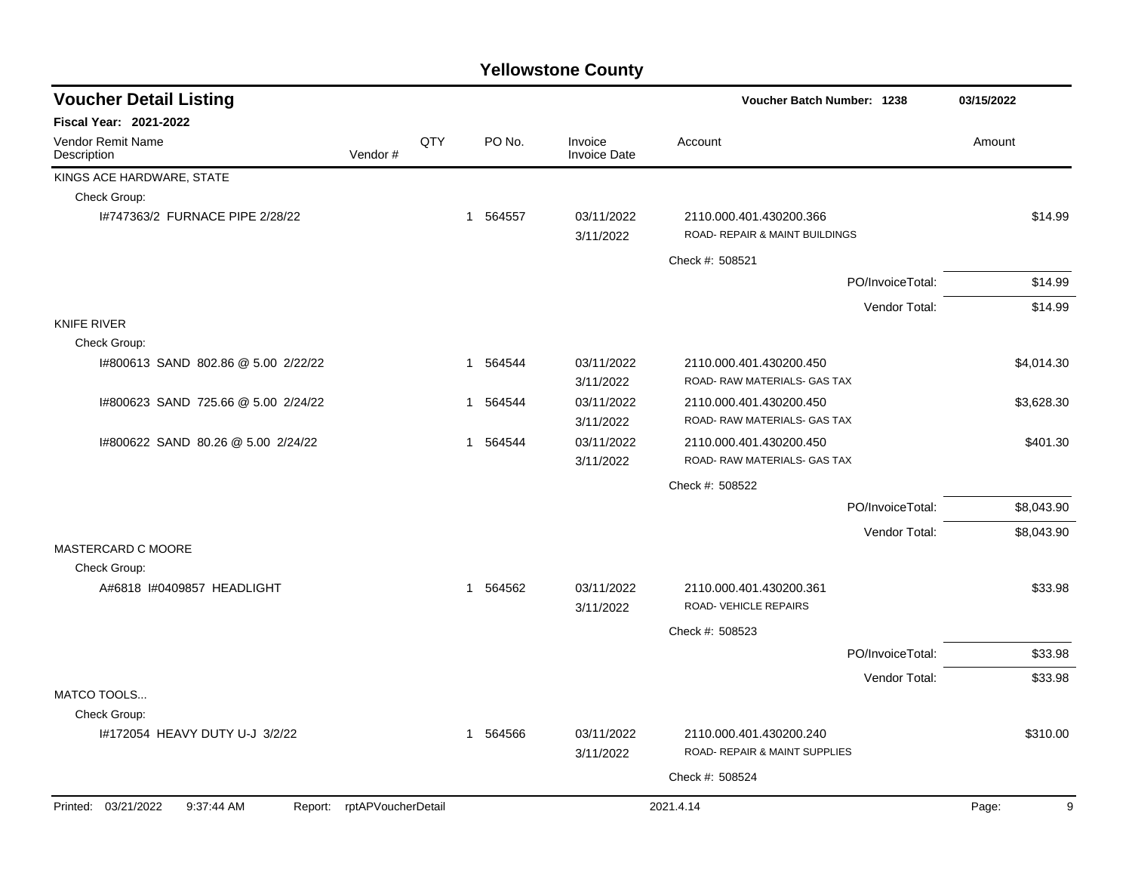| <b>Voucher Detail Listing</b>       |                            |     |          |                                | <b>Voucher Batch Number: 1238</b>                         |                  | 03/15/2022 |
|-------------------------------------|----------------------------|-----|----------|--------------------------------|-----------------------------------------------------------|------------------|------------|
| Fiscal Year: 2021-2022              |                            |     |          |                                |                                                           |                  |            |
| Vendor Remit Name<br>Description    | Vendor#                    | QTY | PO No.   | Invoice<br><b>Invoice Date</b> | Account                                                   |                  | Amount     |
| KINGS ACE HARDWARE, STATE           |                            |     |          |                                |                                                           |                  |            |
| Check Group:                        |                            |     |          |                                |                                                           |                  |            |
| 1#747363/2 FURNACE PIPE 2/28/22     |                            |     | 1 564557 | 03/11/2022<br>3/11/2022        | 2110.000.401.430200.366<br>ROAD- REPAIR & MAINT BUILDINGS |                  | \$14.99    |
|                                     |                            |     |          |                                | Check #: 508521                                           |                  |            |
|                                     |                            |     |          |                                |                                                           | PO/InvoiceTotal: | \$14.99    |
|                                     |                            |     |          |                                |                                                           | Vendor Total:    | \$14.99    |
| <b>KNIFE RIVER</b>                  |                            |     |          |                                |                                                           |                  |            |
| Check Group:                        |                            |     |          |                                |                                                           |                  |            |
| 1#800613 SAND 802.86 @ 5.00 2/22/22 |                            |     | 1 564544 | 03/11/2022<br>3/11/2022        | 2110.000.401.430200.450<br>ROAD-RAW MATERIALS- GAS TAX    |                  | \$4,014.30 |
| 1#800623 SAND 725.66 @ 5.00 2/24/22 |                            |     | 1 564544 | 03/11/2022<br>3/11/2022        | 2110.000.401.430200.450<br>ROAD-RAW MATERIALS- GAS TAX    |                  | \$3,628.30 |
| 1#800622 SAND 80.26 @ 5.00 2/24/22  |                            |     | 1 564544 | 03/11/2022<br>3/11/2022        | 2110.000.401.430200.450<br>ROAD-RAW MATERIALS- GAS TAX    |                  | \$401.30   |
|                                     |                            |     |          |                                | Check #: 508522                                           |                  |            |
|                                     |                            |     |          |                                |                                                           | PO/InvoiceTotal: | \$8,043.90 |
|                                     |                            |     |          |                                |                                                           | Vendor Total:    | \$8,043.90 |
| MASTERCARD C MOORE<br>Check Group:  |                            |     |          |                                |                                                           |                  |            |
| A#6818 I#0409857 HEADLIGHT          |                            |     | 1 564562 | 03/11/2022<br>3/11/2022        | 2110.000.401.430200.361<br>ROAD-VEHICLE REPAIRS           |                  | \$33.98    |
|                                     |                            |     |          |                                | Check #: 508523                                           |                  |            |
|                                     |                            |     |          |                                |                                                           | PO/InvoiceTotal: | \$33.98    |
|                                     |                            |     |          |                                |                                                           | Vendor Total:    | \$33.98    |
| MATCO TOOLS                         |                            |     |          |                                |                                                           |                  |            |
| Check Group:                        |                            |     |          |                                |                                                           |                  |            |
| I#172054 HEAVY DUTY U-J 3/2/22      |                            |     | 1 564566 | 03/11/2022<br>3/11/2022        | 2110.000.401.430200.240<br>ROAD- REPAIR & MAINT SUPPLIES  |                  | \$310.00   |
|                                     |                            |     |          |                                | Check #: 508524                                           |                  |            |
| Printed: 03/21/2022<br>9:37:44 AM   | Report: rptAPVoucherDetail |     |          |                                | 2021.4.14                                                 |                  | 9<br>Page: |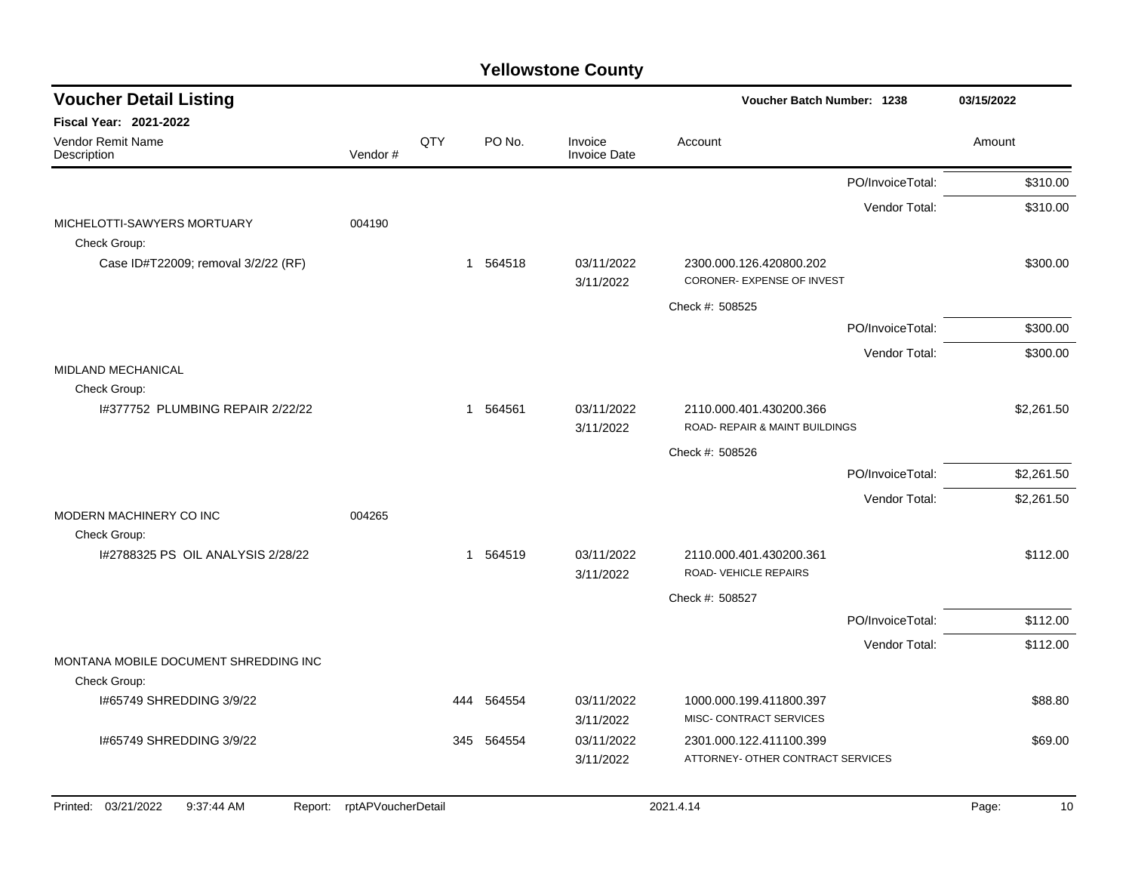| <b>Voucher Detail Listing</b>                         |                    |     |            |                                | Voucher Batch Number: 1238                                |                  | 03/15/2022  |
|-------------------------------------------------------|--------------------|-----|------------|--------------------------------|-----------------------------------------------------------|------------------|-------------|
| <b>Fiscal Year: 2021-2022</b>                         |                    |     |            |                                |                                                           |                  |             |
| Vendor Remit Name<br>Description                      | Vendor#            | QTY | PO No.     | Invoice<br><b>Invoice Date</b> | Account                                                   |                  | Amount      |
|                                                       |                    |     |            |                                |                                                           | PO/InvoiceTotal: | \$310.00    |
|                                                       |                    |     |            |                                |                                                           | Vendor Total:    | \$310.00    |
| MICHELOTTI-SAWYERS MORTUARY<br>Check Group:           | 004190             |     |            |                                |                                                           |                  |             |
| Case ID#T22009; removal 3/2/22 (RF)                   |                    |     | 1 564518   | 03/11/2022<br>3/11/2022        | 2300.000.126.420800.202<br>CORONER- EXPENSE OF INVEST     |                  | \$300.00    |
|                                                       |                    |     |            |                                | Check #: 508525                                           |                  |             |
|                                                       |                    |     |            |                                |                                                           | PO/InvoiceTotal: | \$300.00    |
|                                                       |                    |     |            |                                |                                                           | Vendor Total:    | \$300.00    |
| MIDLAND MECHANICAL<br>Check Group:                    |                    |     |            |                                |                                                           |                  |             |
| I#377752 PLUMBING REPAIR 2/22/22                      |                    |     | 1 564561   | 03/11/2022<br>3/11/2022        | 2110.000.401.430200.366<br>ROAD- REPAIR & MAINT BUILDINGS |                  | \$2,261.50  |
|                                                       |                    |     |            |                                | Check #: 508526                                           |                  |             |
|                                                       |                    |     |            |                                |                                                           | PO/InvoiceTotal: | \$2,261.50  |
|                                                       |                    |     |            |                                |                                                           | Vendor Total:    | \$2,261.50  |
| MODERN MACHINERY CO INC                               | 004265             |     |            |                                |                                                           |                  |             |
| Check Group:<br>1#2788325 PS OIL ANALYSIS 2/28/22     |                    |     | 1 564519   | 03/11/2022                     | 2110.000.401.430200.361                                   |                  | \$112.00    |
|                                                       |                    |     |            | 3/11/2022                      | ROAD-VEHICLE REPAIRS                                      |                  |             |
|                                                       |                    |     |            |                                | Check #: 508527                                           |                  |             |
|                                                       |                    |     |            |                                |                                                           | PO/InvoiceTotal: | \$112.00    |
|                                                       |                    |     |            |                                |                                                           | Vendor Total:    | \$112.00    |
| MONTANA MOBILE DOCUMENT SHREDDING INC<br>Check Group: |                    |     |            |                                |                                                           |                  |             |
| I#65749 SHREDDING 3/9/22                              |                    | 444 | 564554     | 03/11/2022<br>3/11/2022        | 1000.000.199.411800.397<br>MISC- CONTRACT SERVICES        |                  | \$88.80     |
| 1#65749 SHREDDING 3/9/22                              |                    |     | 345 564554 | 03/11/2022                     | 2301.000.122.411100.399                                   |                  | \$69.00     |
|                                                       |                    |     |            | 3/11/2022                      | ATTORNEY- OTHER CONTRACT SERVICES                         |                  |             |
| 03/21/2022<br>Printed:<br>9:37:44 AM<br>Report:       | rptAPVoucherDetail |     |            |                                | 2021.4.14                                                 |                  | Page:<br>10 |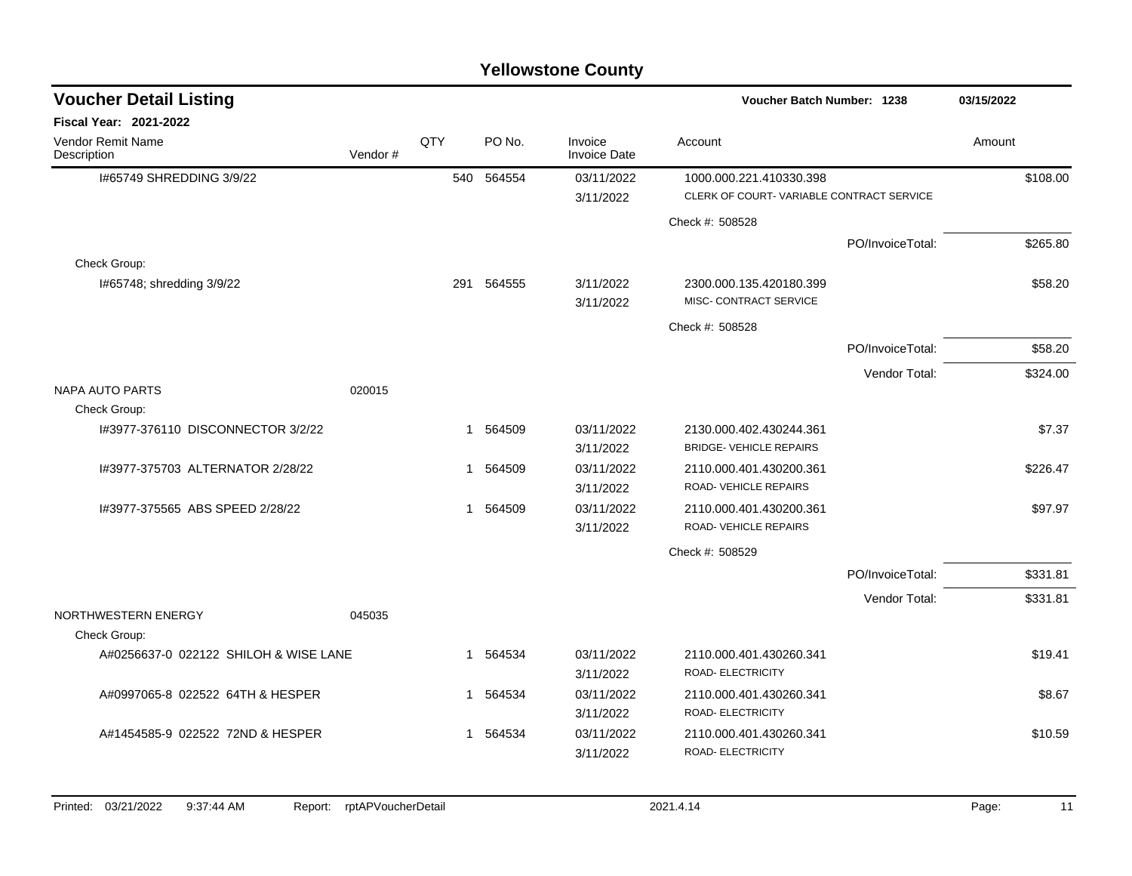| <b>Voucher Detail Listing</b>           |         |              |            |                                | Voucher Batch Number: 1238                                          |                  | 03/15/2022 |
|-----------------------------------------|---------|--------------|------------|--------------------------------|---------------------------------------------------------------------|------------------|------------|
| <b>Fiscal Year: 2021-2022</b>           |         |              |            |                                |                                                                     |                  |            |
| <b>Vendor Remit Name</b><br>Description | Vendor# | QTY          | PO No.     | Invoice<br><b>Invoice Date</b> | Account                                                             |                  | Amount     |
| I#65749 SHREDDING 3/9/22                |         |              | 540 564554 | 03/11/2022<br>3/11/2022        | 1000.000.221.410330.398<br>CLERK OF COURT-VARIABLE CONTRACT SERVICE |                  | \$108.00   |
|                                         |         |              |            |                                | Check #: 508528                                                     |                  |            |
|                                         |         |              |            |                                |                                                                     | PO/InvoiceTotal: | \$265.80   |
| Check Group:                            |         |              |            |                                |                                                                     |                  |            |
| I#65748; shredding 3/9/22               |         | 291          | 564555     | 3/11/2022<br>3/11/2022         | 2300.000.135.420180.399<br>MISC- CONTRACT SERVICE                   |                  | \$58.20    |
|                                         |         |              |            |                                | Check #: 508528                                                     |                  |            |
|                                         |         |              |            |                                |                                                                     | PO/InvoiceTotal: | \$58.20    |
|                                         |         |              |            |                                |                                                                     | Vendor Total:    | \$324.00   |
| <b>NAPA AUTO PARTS</b>                  | 020015  |              |            |                                |                                                                     |                  |            |
| Check Group:                            |         |              |            |                                |                                                                     |                  |            |
| I#3977-376110 DISCONNECTOR 3/2/22       |         | $\mathbf{1}$ | 564509     | 03/11/2022<br>3/11/2022        | 2130.000.402.430244.361<br><b>BRIDGE-VEHICLE REPAIRS</b>            |                  | \$7.37     |
| 1#3977-375703 ALTERNATOR 2/28/22        |         | $\mathbf{1}$ | 564509     | 03/11/2022<br>3/11/2022        | 2110.000.401.430200.361<br>ROAD-VEHICLE REPAIRS                     |                  | \$226.47   |
| I#3977-375565 ABS SPEED 2/28/22         |         |              | 1 564509   | 03/11/2022<br>3/11/2022        | 2110.000.401.430200.361<br>ROAD-VEHICLE REPAIRS                     |                  | \$97.97    |
|                                         |         |              |            |                                | Check #: 508529                                                     |                  |            |
|                                         |         |              |            |                                |                                                                     | PO/InvoiceTotal: | \$331.81   |
|                                         |         |              |            |                                |                                                                     |                  |            |
| NORTHWESTERN ENERGY                     | 045035  |              |            |                                |                                                                     | Vendor Total:    | \$331.81   |
| Check Group:                            |         |              |            |                                |                                                                     |                  |            |
| A#0256637-0 022122 SHILOH & WISE LANE   |         | $\mathbf{1}$ | 564534     | 03/11/2022<br>3/11/2022        | 2110.000.401.430260.341<br>ROAD- ELECTRICITY                        |                  | \$19.41    |
| A#0997065-8 022522 64TH & HESPER        |         |              | 1 564534   | 03/11/2022                     | 2110.000.401.430260.341                                             |                  | \$8.67     |
|                                         |         |              |            | 3/11/2022                      | ROAD- ELECTRICITY                                                   |                  |            |
| A#1454585-9 022522 72ND & HESPER        |         | $\mathbf{1}$ | 564534     | 03/11/2022                     | 2110.000.401.430260.341                                             |                  | \$10.59    |
|                                         |         |              |            | 3/11/2022                      | ROAD- ELECTRICITY                                                   |                  |            |
|                                         |         |              |            |                                |                                                                     |                  |            |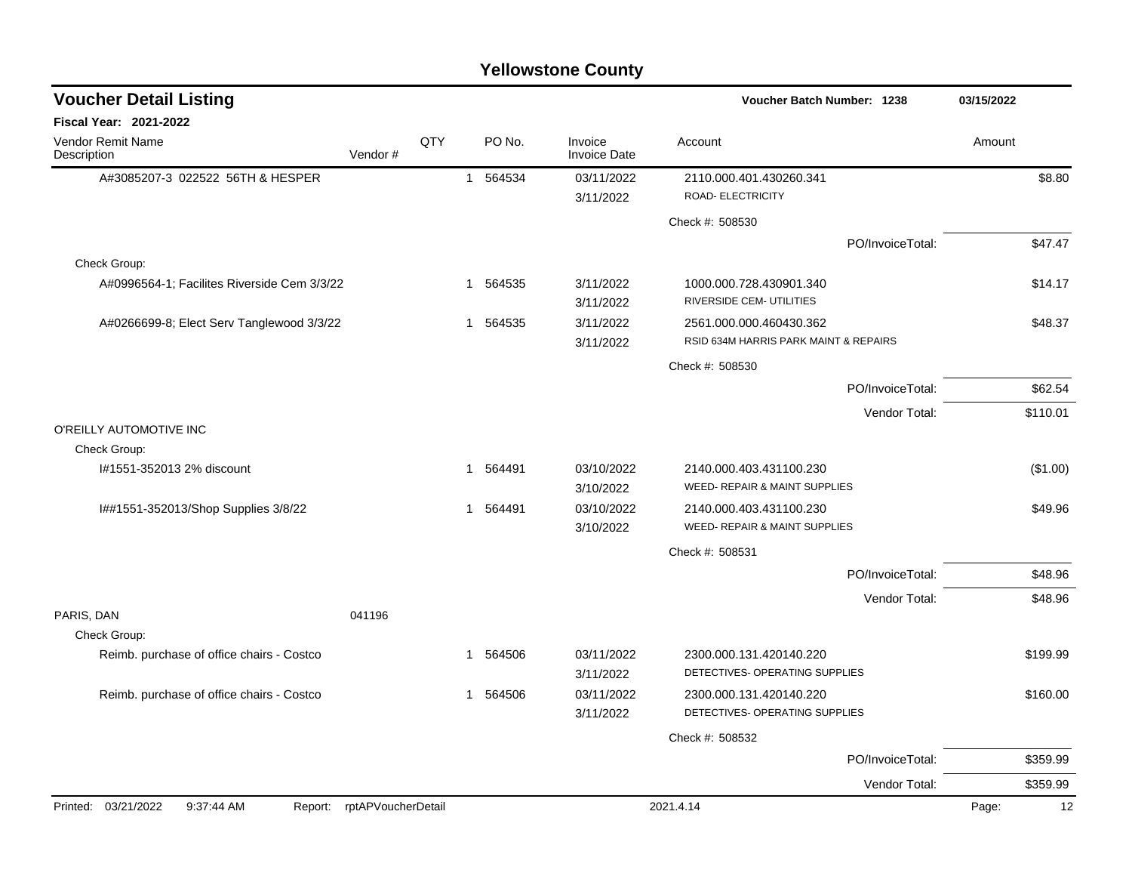#### A#3085207-3 022522 56TH & HESPER 1 564534 03/11/2022 2110.000.401.430260.341 \$8.80 3/11/2022 ROAD- ELECTRICITY Check #: 508530 PO/InvoiceTotal: \$47.47 Check Group: A#0996564-1: Facilites Riverside Cem 3/3/22 1 564535 3/11/2022 1000.000.728.430901.340 3/11/2022 RIVERSIDE CEM- UTILITIES A#0266699-8; Elect Serv Tanglewood 3/3/22 1 564535 3/11/2022 2561.000.000.460430.362 548.37 3/11/2022 RSID 634M HARRIS PARK MAINT & REPAIRS Check #: 508530 PO/InvoiceTotal: \$62.54 Vendor Total: \$110.01 O'REILLY AUTOMOTIVE INC Check Group: I#1551-352013 2% discount 1 564491 03/10/2022 2140.000.403.431100.230 (\$1.00) 3/10/2022 WEED- REPAIR & MAINT SUPPLIES I##1551-352013/Shop Supplies 3/8/22 1 564491 03/10/2022 2140.000.403.431100.230 \$49.96 3/10/2022 WEED- REPAIR & MAINT SUPPLIES Check #: 508531 PO/InvoiceTotal: \$48.96 Vendor Total: \$48.96 PARIS, DAN 041196 Check Group: Reimb. purchase of office chairs - Costco 1 1 564506 03/11/2022 2300.000.131.420140.220 3/11/2022 DETECTIVES- OPERATING SUPPLIES Reimb. purchase of office chairs - Costco 1 1 564506 03/11/2022 2300.000.131.420140.220 \$160.00 3/11/2022 DETECTIVES- OPERATING SUPPLIES Check #: 508532 PO/InvoiceTotal: \$359.99 Vendor Total: \$359.99 **Voucher Batch Number: Yellowstone County** Vendor Remit Name **Description Voucher Detail Listing Fiscal Year: 2021-2022 1238 03/15/2022** PO No. Invoice Account Amount Amount Amount Amount Vendor # **QTY** Invoice Date Printed: 03/21/2022 9:37:44 AM Report: rptAPVoucherDetail 2021.4.14 2021.4.14 Page: 12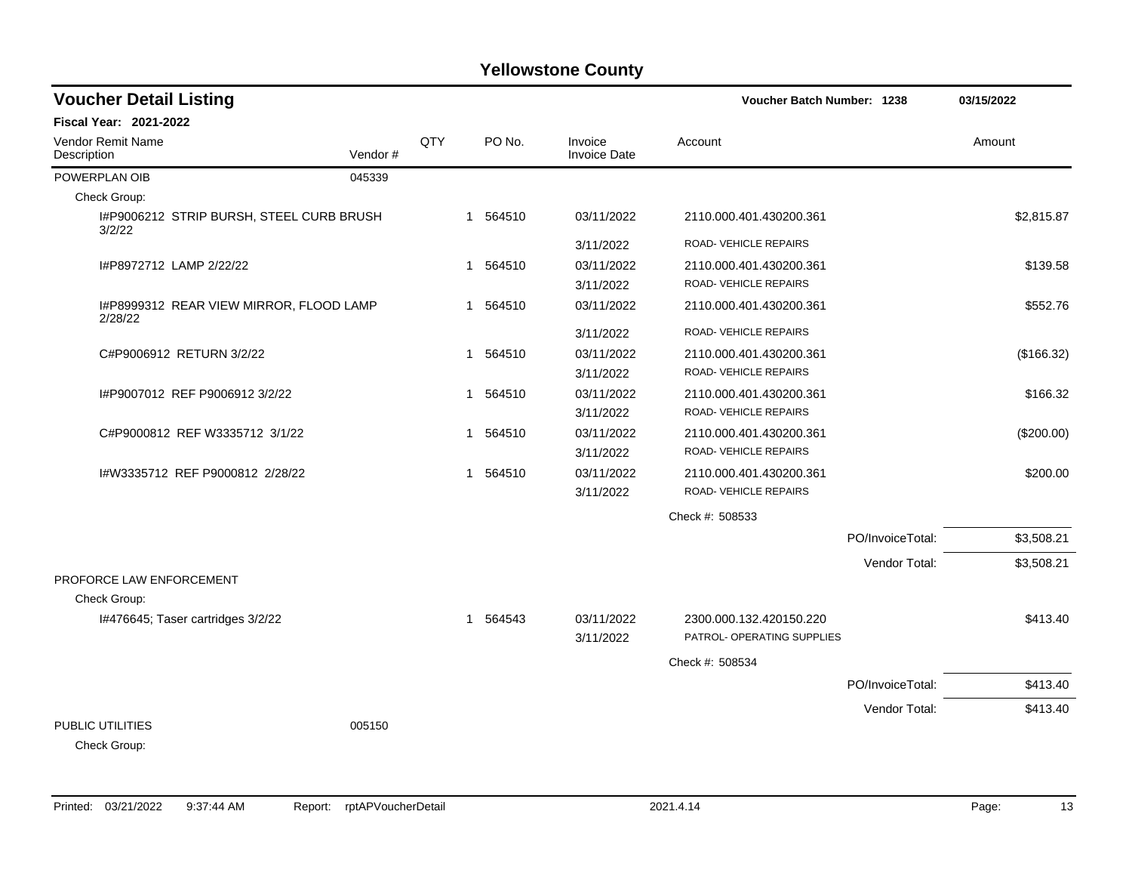| <b>Voucher Detail Listing</b>                      |         |     |                        |                                | Voucher Batch Number: 1238 |                  | 03/15/2022 |
|----------------------------------------------------|---------|-----|------------------------|--------------------------------|----------------------------|------------------|------------|
| Fiscal Year: 2021-2022                             |         |     |                        |                                |                            |                  |            |
| Vendor Remit Name<br>Description                   | Vendor# | QTY | PO No.                 | Invoice<br><b>Invoice Date</b> | Account                    |                  | Amount     |
| POWERPLAN OIB                                      | 045339  |     |                        |                                |                            |                  |            |
| Check Group:                                       |         |     |                        |                                |                            |                  |            |
| I#P9006212 STRIP BURSH, STEEL CURB BRUSH<br>3/2/22 |         |     | 1 564510               | 03/11/2022                     | 2110.000.401.430200.361    |                  | \$2,815.87 |
|                                                    |         |     |                        | 3/11/2022                      | ROAD- VEHICLE REPAIRS      |                  |            |
| I#P8972712 LAMP 2/22/22                            |         |     | 1 564510               | 03/11/2022                     | 2110.000.401.430200.361    |                  | \$139.58   |
|                                                    |         |     |                        | 3/11/2022                      | ROAD-VEHICLE REPAIRS       |                  |            |
| I#P8999312 REAR VIEW MIRROR, FLOOD LAMP<br>2/28/22 |         |     | 1 564510               | 03/11/2022                     | 2110.000.401.430200.361    |                  | \$552.76   |
|                                                    |         |     |                        | 3/11/2022                      | ROAD-VEHICLE REPAIRS       |                  |            |
| C#P9006912 RETURN 3/2/22                           |         |     | 1 564510               | 03/11/2022                     | 2110.000.401.430200.361    |                  | (\$166.32) |
|                                                    |         |     |                        | 3/11/2022                      | ROAD-VEHICLE REPAIRS       |                  |            |
| I#P9007012 REF P9006912 3/2/22                     |         |     | 1 564510               | 03/11/2022                     | 2110.000.401.430200.361    |                  | \$166.32   |
|                                                    |         |     |                        | 3/11/2022                      | ROAD-VEHICLE REPAIRS       |                  |            |
| C#P9000812 REF W3335712 3/1/22                     |         |     | 564510<br>$\mathbf{1}$ | 03/11/2022                     | 2110.000.401.430200.361    |                  | (\$200.00) |
|                                                    |         |     |                        | 3/11/2022                      | ROAD- VEHICLE REPAIRS      |                  |            |
| I#W3335712 REF P9000812 2/28/22                    |         |     | 564510<br>$\mathbf{1}$ | 03/11/2022                     | 2110.000.401.430200.361    |                  | \$200.00   |
|                                                    |         |     |                        | 3/11/2022                      | ROAD-VEHICLE REPAIRS       |                  |            |
|                                                    |         |     |                        |                                | Check #: 508533            |                  |            |
|                                                    |         |     |                        |                                |                            | PO/InvoiceTotal: | \$3,508.21 |
|                                                    |         |     |                        |                                |                            | Vendor Total:    | \$3,508.21 |
| PROFORCE LAW ENFORCEMENT                           |         |     |                        |                                |                            |                  |            |
| Check Group:                                       |         |     |                        |                                |                            |                  |            |
| I#476645; Taser cartridges 3/2/22                  |         |     | 1 564543               | 03/11/2022                     | 2300.000.132.420150.220    |                  | \$413.40   |
|                                                    |         |     |                        | 3/11/2022                      | PATROL- OPERATING SUPPLIES |                  |            |
|                                                    |         |     |                        |                                | Check #: 508534            |                  |            |
|                                                    |         |     |                        |                                |                            | PO/InvoiceTotal: | \$413.40   |
|                                                    |         |     |                        |                                |                            | Vendor Total:    | \$413.40   |
| PUBLIC UTILITIES                                   | 005150  |     |                        |                                |                            |                  |            |
| Check Group:                                       |         |     |                        |                                |                            |                  |            |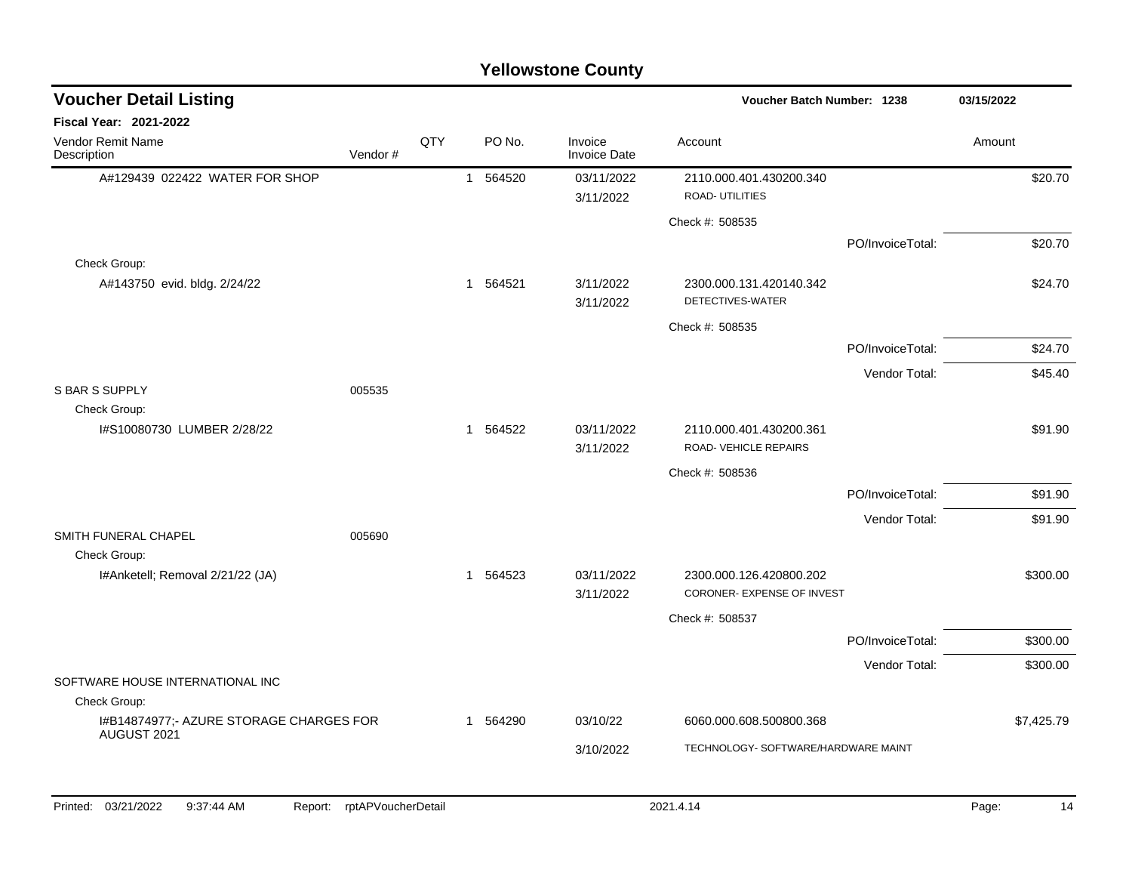| <b>Voucher Detail Listing</b>                          |         |     |          |                         | Voucher Batch Number: 1238                            |                  | 03/15/2022 |            |
|--------------------------------------------------------|---------|-----|----------|-------------------------|-------------------------------------------------------|------------------|------------|------------|
| Fiscal Year: 2021-2022                                 |         |     |          |                         |                                                       |                  |            |            |
| Vendor Remit Name<br>Description                       | Vendor# | QTY | PO No.   | Invoice<br>Invoice Date | Account                                               |                  | Amount     |            |
| A#129439 022422 WATER FOR SHOP                         |         |     | 1 564520 | 03/11/2022<br>3/11/2022 | 2110.000.401.430200.340<br><b>ROAD-UTILITIES</b>      |                  |            | \$20.70    |
|                                                        |         |     |          |                         | Check #: 508535                                       |                  |            |            |
|                                                        |         |     |          |                         |                                                       | PO/InvoiceTotal: |            | \$20.70    |
| Check Group:                                           |         |     |          |                         |                                                       |                  |            |            |
| A#143750 evid. bldg. 2/24/22                           |         |     | 1 564521 | 3/11/2022<br>3/11/2022  | 2300.000.131.420140.342<br>DETECTIVES-WATER           |                  |            | \$24.70    |
|                                                        |         |     |          |                         | Check #: 508535                                       |                  |            |            |
|                                                        |         |     |          |                         |                                                       | PO/InvoiceTotal: |            | \$24.70    |
|                                                        |         |     |          |                         |                                                       | Vendor Total:    |            | \$45.40    |
| <b>S BAR S SUPPLY</b><br>Check Group:                  | 005535  |     |          |                         |                                                       |                  |            |            |
| I#S10080730 LUMBER 2/28/22                             |         |     | 1 564522 | 03/11/2022<br>3/11/2022 | 2110.000.401.430200.361<br>ROAD-VEHICLE REPAIRS       |                  |            | \$91.90    |
|                                                        |         |     |          |                         | Check #: 508536                                       |                  |            |            |
|                                                        |         |     |          |                         |                                                       | PO/InvoiceTotal: |            | \$91.90    |
|                                                        |         |     |          |                         |                                                       | Vendor Total:    |            | \$91.90    |
| SMITH FUNERAL CHAPEL<br>Check Group:                   | 005690  |     |          |                         |                                                       |                  |            |            |
| I#Anketell; Removal 2/21/22 (JA)                       |         |     | 1 564523 | 03/11/2022<br>3/11/2022 | 2300.000.126.420800.202<br>CORONER- EXPENSE OF INVEST |                  |            | \$300.00   |
|                                                        |         |     |          |                         | Check #: 508537                                       |                  |            |            |
|                                                        |         |     |          |                         |                                                       | PO/InvoiceTotal: |            | \$300.00   |
|                                                        |         |     |          |                         |                                                       | Vendor Total:    |            | \$300.00   |
| SOFTWARE HOUSE INTERNATIONAL INC                       |         |     |          |                         |                                                       |                  |            |            |
| Check Group:                                           |         |     |          |                         |                                                       |                  |            |            |
| I#B14874977;- AZURE STORAGE CHARGES FOR<br>AUGUST 2021 |         |     | 1 564290 | 03/10/22                | 6060.000.608.500800.368                               |                  |            | \$7,425.79 |
|                                                        |         |     |          | 3/10/2022               | TECHNOLOGY- SOFTWARE/HARDWARE MAINT                   |                  |            |            |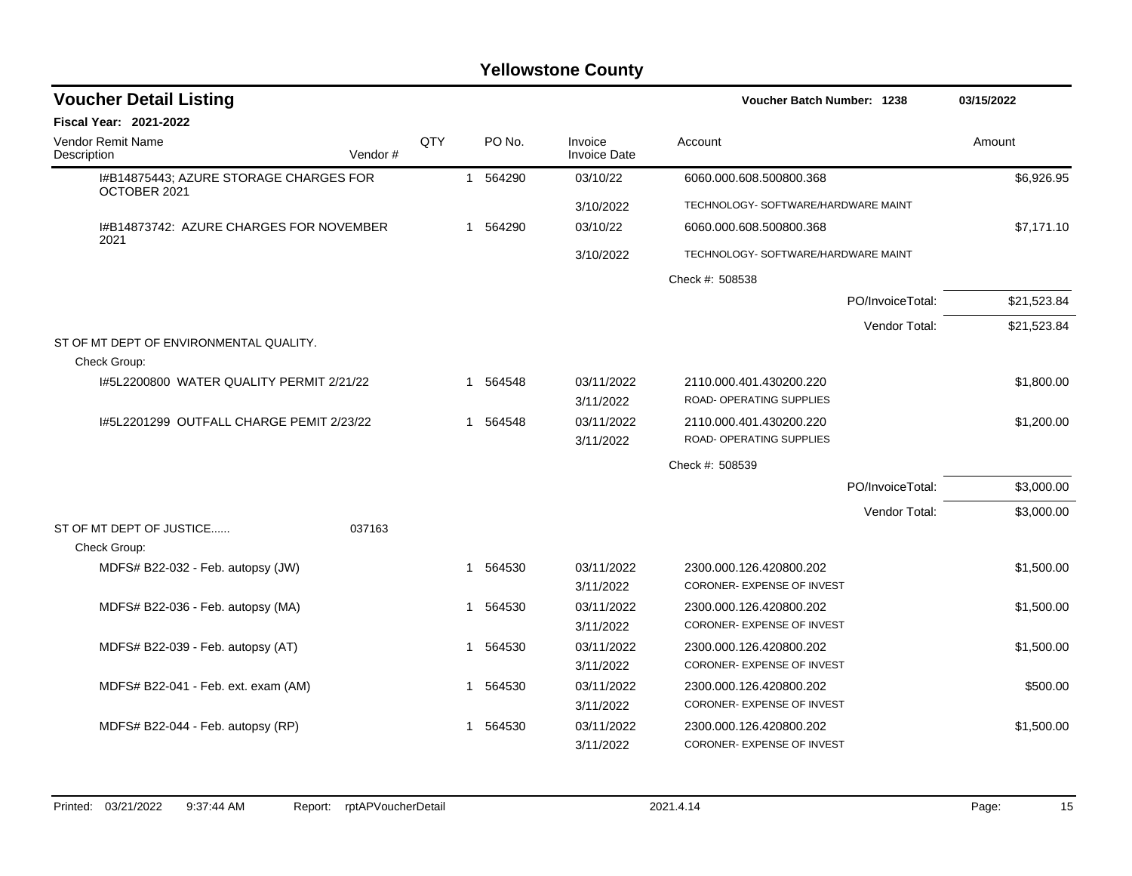| <b>Voucher Detail Listing</b>                          |            |   |          |                                | Voucher Batch Number: 1238                                 | 03/15/2022  |
|--------------------------------------------------------|------------|---|----------|--------------------------------|------------------------------------------------------------|-------------|
| Fiscal Year: 2021-2022                                 |            |   |          |                                |                                                            |             |
| <b>Vendor Remit Name</b><br>Vendor#<br>Description     | <b>QTY</b> |   | PO No.   | Invoice<br><b>Invoice Date</b> | Account                                                    | Amount      |
| I#B14875443; AZURE STORAGE CHARGES FOR<br>OCTOBER 2021 |            |   | 1 564290 | 03/10/22                       | 6060.000.608.500800.368                                    | \$6,926.95  |
|                                                        |            |   |          | 3/10/2022                      | TECHNOLOGY- SOFTWARE/HARDWARE MAINT                        |             |
| I#B14873742: AZURE CHARGES FOR NOVEMBER<br>2021        |            | 1 | 564290   | 03/10/22                       | 6060.000.608.500800.368                                    | \$7,171.10  |
|                                                        |            |   |          | 3/10/2022                      | TECHNOLOGY- SOFTWARE/HARDWARE MAINT                        |             |
|                                                        |            |   |          |                                | Check #: 508538                                            |             |
|                                                        |            |   |          |                                | PO/InvoiceTotal:                                           | \$21,523.84 |
|                                                        |            |   |          |                                | Vendor Total:                                              | \$21,523.84 |
| ST OF MT DEPT OF ENVIRONMENTAL QUALITY.                |            |   |          |                                |                                                            |             |
| Check Group:                                           |            |   |          |                                |                                                            |             |
| 1#5L2200800 WATER QUALITY PERMIT 2/21/22               |            |   | 1 564548 | 03/11/2022<br>3/11/2022        | 2110.000.401.430200.220<br><b>ROAD- OPERATING SUPPLIES</b> | \$1,800.00  |
| 1#5L2201299 OUTFALL CHARGE PEMIT 2/23/22               |            | 1 | 564548   | 03/11/2022                     | 2110.000.401.430200.220                                    | \$1,200.00  |
|                                                        |            |   |          | 3/11/2022                      | ROAD- OPERATING SUPPLIES                                   |             |
|                                                        |            |   |          |                                | Check #: 508539                                            |             |
|                                                        |            |   |          |                                | PO/InvoiceTotal:                                           | \$3,000.00  |
|                                                        |            |   |          |                                | Vendor Total:                                              | \$3,000.00  |
| ST OF MT DEPT OF JUSTICE<br>037163                     |            |   |          |                                |                                                            |             |
| Check Group:                                           |            |   |          |                                |                                                            |             |
| MDFS# B22-032 - Feb. autopsy (JW)                      |            | 1 | 564530   | 03/11/2022                     | 2300.000.126.420800.202                                    | \$1,500.00  |
|                                                        |            |   |          | 3/11/2022                      | CORONER- EXPENSE OF INVEST                                 |             |
| MDFS# B22-036 - Feb. autopsy (MA)                      |            | 1 | 564530   | 03/11/2022                     | 2300.000.126.420800.202                                    | \$1,500.00  |
|                                                        |            |   |          | 3/11/2022                      | <b>CORONER- EXPENSE OF INVEST</b>                          |             |
| MDFS# B22-039 - Feb. autopsy (AT)                      |            | 1 | 564530   | 03/11/2022                     | 2300.000.126.420800.202                                    | \$1,500.00  |
|                                                        |            |   |          | 3/11/2022                      | CORONER- EXPENSE OF INVEST                                 |             |
| MDFS# B22-041 - Feb. ext. exam (AM)                    |            | 1 | 564530   | 03/11/2022                     | 2300.000.126.420800.202                                    | \$500.00    |
|                                                        |            |   |          | 3/11/2022                      | CORONER- EXPENSE OF INVEST                                 |             |
| MDFS# B22-044 - Feb. autopsy (RP)                      |            | 1 | 564530   | 03/11/2022                     | 2300.000.126.420800.202                                    | \$1,500.00  |
|                                                        |            |   |          | 3/11/2022                      | CORONER- EXPENSE OF INVEST                                 |             |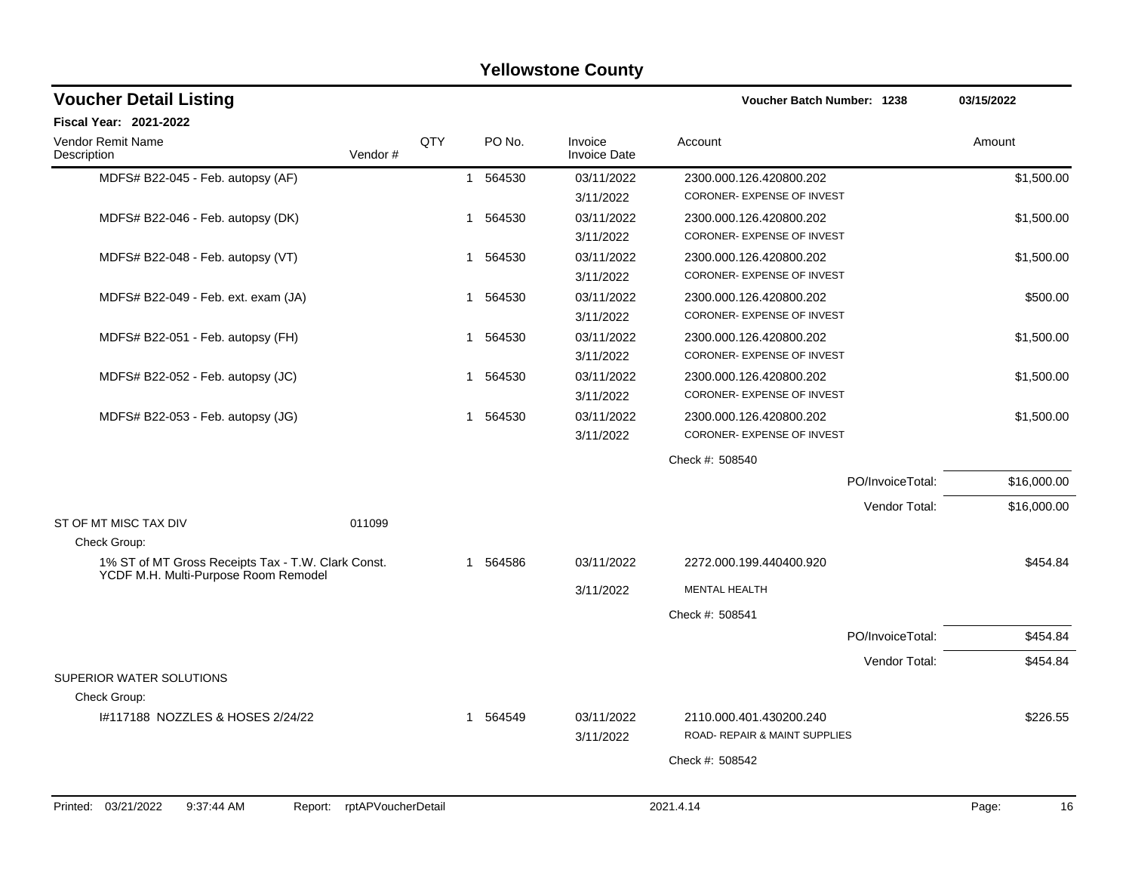| <b>Yellowstone County</b>                                                                  |                            |     |                        |                                |                                                          |                  |             |  |
|--------------------------------------------------------------------------------------------|----------------------------|-----|------------------------|--------------------------------|----------------------------------------------------------|------------------|-------------|--|
| <b>Voucher Detail Listing</b>                                                              |                            |     |                        |                                | <b>Voucher Batch Number: 1238</b>                        |                  | 03/15/2022  |  |
| <b>Fiscal Year: 2021-2022</b>                                                              |                            |     |                        |                                |                                                          |                  |             |  |
| Vendor Remit Name<br>Description                                                           | Vendor #                   | QTY | PO No.                 | Invoice<br><b>Invoice Date</b> | Account                                                  |                  | Amount      |  |
| MDFS# B22-045 - Feb. autopsy (AF)                                                          |                            |     | 564530<br>$\mathbf{1}$ | 03/11/2022<br>3/11/2022        | 2300.000.126.420800.202<br>CORONER- EXPENSE OF INVEST    |                  | \$1,500.00  |  |
| MDFS# B22-046 - Feb. autopsy (DK)                                                          |                            | 1   | 564530                 | 03/11/2022<br>3/11/2022        | 2300.000.126.420800.202<br>CORONER- EXPENSE OF INVEST    |                  | \$1,500.00  |  |
| MDFS# B22-048 - Feb. autopsy (VT)                                                          |                            | 1   | 564530                 | 03/11/2022<br>3/11/2022        | 2300.000.126.420800.202<br>CORONER- EXPENSE OF INVEST    |                  | \$1,500.00  |  |
| MDFS# B22-049 - Feb. ext. exam (JA)                                                        |                            | 1.  | 564530                 | 03/11/2022<br>3/11/2022        | 2300.000.126.420800.202<br>CORONER- EXPENSE OF INVEST    |                  | \$500.00    |  |
| MDFS# B22-051 - Feb. autopsy (FH)                                                          |                            | 1   | 564530                 | 03/11/2022<br>3/11/2022        | 2300.000.126.420800.202<br>CORONER- EXPENSE OF INVEST    |                  | \$1,500.00  |  |
| MDFS# B22-052 - Feb. autopsy (JC)                                                          |                            | 1.  | 564530                 | 03/11/2022<br>3/11/2022        | 2300.000.126.420800.202<br>CORONER- EXPENSE OF INVEST    |                  | \$1,500.00  |  |
| MDFS# B22-053 - Feb. autopsy (JG)                                                          |                            | 1.  | 564530                 | 03/11/2022<br>3/11/2022        | 2300.000.126.420800.202<br>CORONER- EXPENSE OF INVEST    |                  | \$1,500.00  |  |
|                                                                                            |                            |     |                        |                                | Check #: 508540                                          |                  |             |  |
|                                                                                            |                            |     |                        |                                |                                                          | PO/InvoiceTotal: | \$16,000.00 |  |
|                                                                                            |                            |     |                        |                                |                                                          | Vendor Total:    | \$16,000.00 |  |
| ST OF MT MISC TAX DIV                                                                      | 011099                     |     |                        |                                |                                                          |                  |             |  |
| Check Group:                                                                               |                            |     |                        |                                |                                                          |                  |             |  |
| 1% ST of MT Gross Receipts Tax - T.W. Clark Const.<br>YCDF M.H. Multi-Purpose Room Remodel |                            | 1.  | 564586                 | 03/11/2022                     | 2272.000.199.440400.920                                  |                  | \$454.84    |  |
|                                                                                            |                            |     |                        | 3/11/2022                      | <b>MENTAL HEALTH</b>                                     |                  |             |  |
|                                                                                            |                            |     |                        |                                | Check #: 508541                                          |                  |             |  |
|                                                                                            |                            |     |                        |                                |                                                          | PO/InvoiceTotal: | \$454.84    |  |
|                                                                                            |                            |     |                        |                                |                                                          | Vendor Total:    | \$454.84    |  |
| SUPERIOR WATER SOLUTIONS                                                                   |                            |     |                        |                                |                                                          |                  |             |  |
| Check Group:                                                                               |                            |     |                        |                                |                                                          |                  |             |  |
| #117188 NOZZLES & HOSES 2/24/22                                                            |                            |     | 1 564549               | 03/11/2022<br>3/11/2022        | 2110.000.401.430200.240<br>ROAD- REPAIR & MAINT SUPPLIES |                  | \$226.55    |  |
|                                                                                            |                            |     |                        |                                | Check #: 508542                                          |                  |             |  |
|                                                                                            |                            |     |                        |                                |                                                          |                  |             |  |
| Printed: 03/21/2022<br>9:37:44 AM                                                          | Report: rptAPVoucherDetail |     |                        |                                | 2021.4.14                                                |                  | 16<br>Page: |  |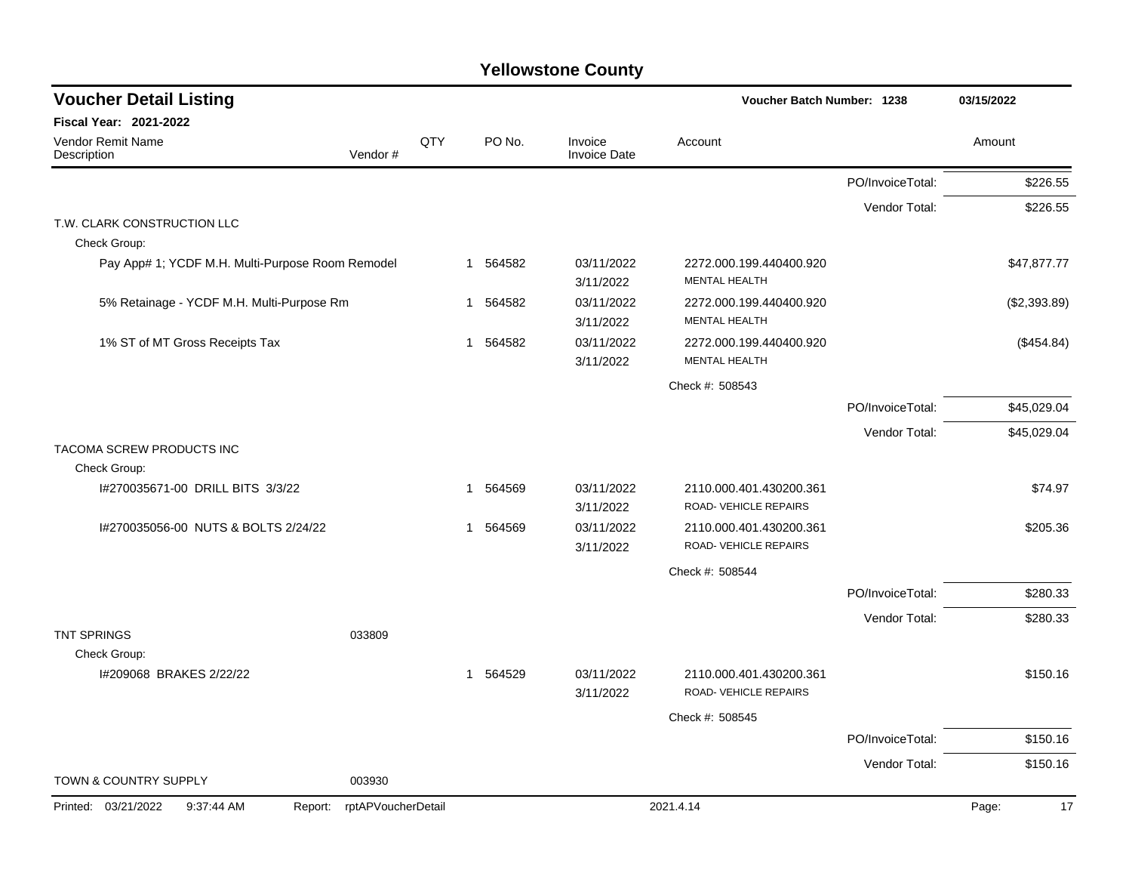| <b>Voucher Detail Listing</b>                    |                    |     |                        |                                | <b>Voucher Batch Number: 1238</b>                |                  | 03/15/2022   |
|--------------------------------------------------|--------------------|-----|------------------------|--------------------------------|--------------------------------------------------|------------------|--------------|
| Fiscal Year: 2021-2022                           |                    |     |                        |                                |                                                  |                  |              |
| Vendor Remit Name<br>Description                 | Vendor#            | QTY | PO No.                 | Invoice<br><b>Invoice Date</b> | Account                                          |                  | Amount       |
|                                                  |                    |     |                        |                                |                                                  | PO/InvoiceTotal: | \$226.55     |
|                                                  |                    |     |                        |                                |                                                  | Vendor Total:    | \$226.55     |
| T.W. CLARK CONSTRUCTION LLC<br>Check Group:      |                    |     |                        |                                |                                                  |                  |              |
| Pay App# 1; YCDF M.H. Multi-Purpose Room Remodel |                    |     | 564582<br>1            | 03/11/2022<br>3/11/2022        | 2272.000.199.440400.920<br><b>MENTAL HEALTH</b>  |                  | \$47,877.77  |
| 5% Retainage - YCDF M.H. Multi-Purpose Rm        |                    |     | 564582<br>-1           | 03/11/2022<br>3/11/2022        | 2272.000.199.440400.920<br><b>MENTAL HEALTH</b>  |                  | (\$2,393.89) |
| 1% ST of MT Gross Receipts Tax                   |                    |     | 564582<br>1            | 03/11/2022<br>3/11/2022        | 2272.000.199.440400.920<br><b>MENTAL HEALTH</b>  |                  | (\$454.84)   |
|                                                  |                    |     |                        |                                | Check #: 508543                                  |                  |              |
|                                                  |                    |     |                        |                                |                                                  | PO/InvoiceTotal: | \$45,029.04  |
|                                                  |                    |     |                        |                                |                                                  | Vendor Total:    | \$45,029.04  |
| TACOMA SCREW PRODUCTS INC<br>Check Group:        |                    |     |                        |                                |                                                  |                  |              |
| I#270035671-00 DRILL BITS 3/3/22                 |                    |     | 564569<br>$\mathbf{1}$ | 03/11/2022<br>3/11/2022        | 2110.000.401.430200.361<br>ROAD-VEHICLE REPAIRS  |                  | \$74.97      |
| I#270035056-00 NUTS & BOLTS 2/24/22              |                    |     | 564569<br>$\mathbf{1}$ | 03/11/2022<br>3/11/2022        | 2110.000.401.430200.361<br>ROAD- VEHICLE REPAIRS |                  | \$205.36     |
|                                                  |                    |     |                        |                                | Check #: 508544                                  |                  |              |
|                                                  |                    |     |                        |                                |                                                  | PO/InvoiceTotal: | \$280.33     |
|                                                  |                    |     |                        |                                |                                                  | Vendor Total:    | \$280.33     |
| <b>TNT SPRINGS</b><br>Check Group:               | 033809             |     |                        |                                |                                                  |                  |              |
| I#209068 BRAKES 2/22/22                          |                    |     | 564529<br>$\mathbf{1}$ | 03/11/2022<br>3/11/2022        | 2110.000.401.430200.361<br>ROAD- VEHICLE REPAIRS |                  | \$150.16     |
|                                                  |                    |     |                        |                                | Check #: 508545                                  |                  |              |
|                                                  |                    |     |                        |                                |                                                  | PO/InvoiceTotal: | \$150.16     |
|                                                  |                    |     |                        |                                |                                                  | Vendor Total:    | \$150.16     |
| TOWN & COUNTRY SUPPLY                            | 003930             |     |                        |                                |                                                  |                  |              |
| Printed: 03/21/2022<br>9:37:44 AM<br>Report:     | rptAPVoucherDetail |     |                        |                                | 2021.4.14                                        |                  | Page:<br>17  |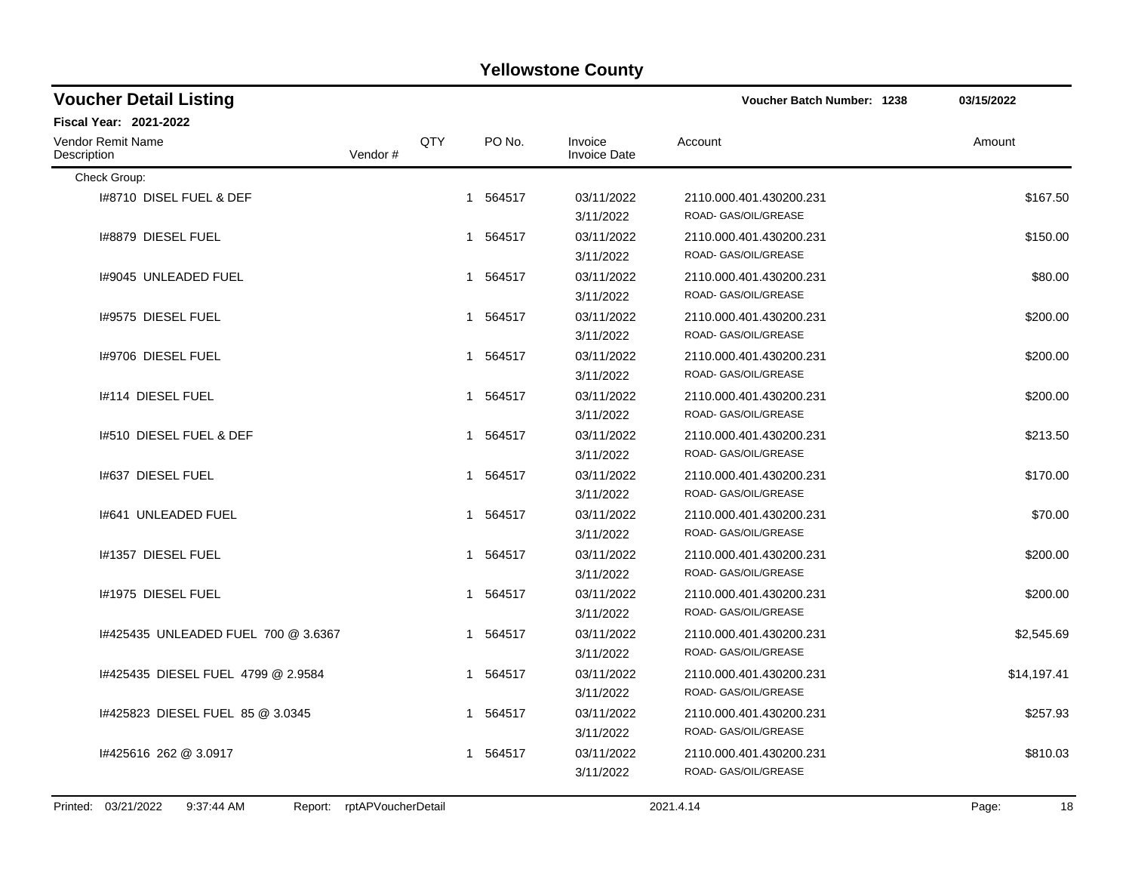| <b>Voucher Detail Listing</b>                      |            |          |                                | <b>Voucher Batch Number: 1238</b>               | 03/15/2022  |
|----------------------------------------------------|------------|----------|--------------------------------|-------------------------------------------------|-------------|
| Fiscal Year: 2021-2022                             |            |          |                                |                                                 |             |
| <b>Vendor Remit Name</b><br>Description<br>Vendor# | <b>QTY</b> | PO No.   | Invoice<br><b>Invoice Date</b> | Account                                         | Amount      |
| Check Group:                                       |            |          |                                |                                                 |             |
| 1#8710 DISEL FUEL & DEF                            |            | 1 564517 | 03/11/2022<br>3/11/2022        | 2110.000.401.430200.231<br>ROAD- GAS/OIL/GREASE | \$167.50    |
| I#8879 DIESEL FUEL                                 |            | 1 564517 | 03/11/2022<br>3/11/2022        | 2110.000.401.430200.231<br>ROAD- GAS/OIL/GREASE | \$150.00    |
| 1#9045 UNLEADED FUEL                               |            | 1 564517 | 03/11/2022<br>3/11/2022        | 2110.000.401.430200.231<br>ROAD- GAS/OIL/GREASE | \$80.00     |
| 1#9575 DIESEL FUEL                                 |            | 1 564517 | 03/11/2022<br>3/11/2022        | 2110.000.401.430200.231<br>ROAD- GAS/OIL/GREASE | \$200.00    |
| 1#9706 DIESEL FUEL                                 |            | 1 564517 | 03/11/2022<br>3/11/2022        | 2110.000.401.430200.231<br>ROAD- GAS/OIL/GREASE | \$200.00    |
| 1#114 DIESEL FUEL                                  |            | 1 564517 | 03/11/2022<br>3/11/2022        | 2110.000.401.430200.231<br>ROAD- GAS/OIL/GREASE | \$200.00    |
| 1#510 DIESEL FUEL & DEF                            |            | 1 564517 | 03/11/2022<br>3/11/2022        | 2110.000.401.430200.231<br>ROAD- GAS/OIL/GREASE | \$213.50    |
| 1#637 DIESEL FUEL                                  |            | 1 564517 | 03/11/2022<br>3/11/2022        | 2110.000.401.430200.231<br>ROAD- GAS/OIL/GREASE | \$170.00    |
| 1#641 UNLEADED FUEL                                |            | 1 564517 | 03/11/2022<br>3/11/2022        | 2110.000.401.430200.231<br>ROAD- GAS/OIL/GREASE | \$70.00     |
| 1#1357 DIESEL FUEL                                 |            | 1 564517 | 03/11/2022<br>3/11/2022        | 2110.000.401.430200.231<br>ROAD- GAS/OIL/GREASE | \$200.00    |
| I#1975 DIESEL FUEL                                 |            | 1 564517 | 03/11/2022<br>3/11/2022        | 2110.000.401.430200.231<br>ROAD- GAS/OIL/GREASE | \$200.00    |
| 1#425435 UNLEADED FUEL 700 @ 3.6367                |            | 1 564517 | 03/11/2022<br>3/11/2022        | 2110.000.401.430200.231<br>ROAD- GAS/OIL/GREASE | \$2,545.69  |
| 1#425435 DIESEL FUEL 4799 @ 2.9584                 |            | 1 564517 | 03/11/2022<br>3/11/2022        | 2110.000.401.430200.231<br>ROAD- GAS/OIL/GREASE | \$14,197.41 |
| 1#425823 DIESEL FUEL 85 @ 3.0345                   |            | 1 564517 | 03/11/2022<br>3/11/2022        | 2110.000.401.430200.231<br>ROAD- GAS/OIL/GREASE | \$257.93    |
| #425616 262 @ 3.0917                               |            | 1 564517 | 03/11/2022<br>3/11/2022        | 2110.000.401.430200.231<br>ROAD- GAS/OIL/GREASE | \$810.03    |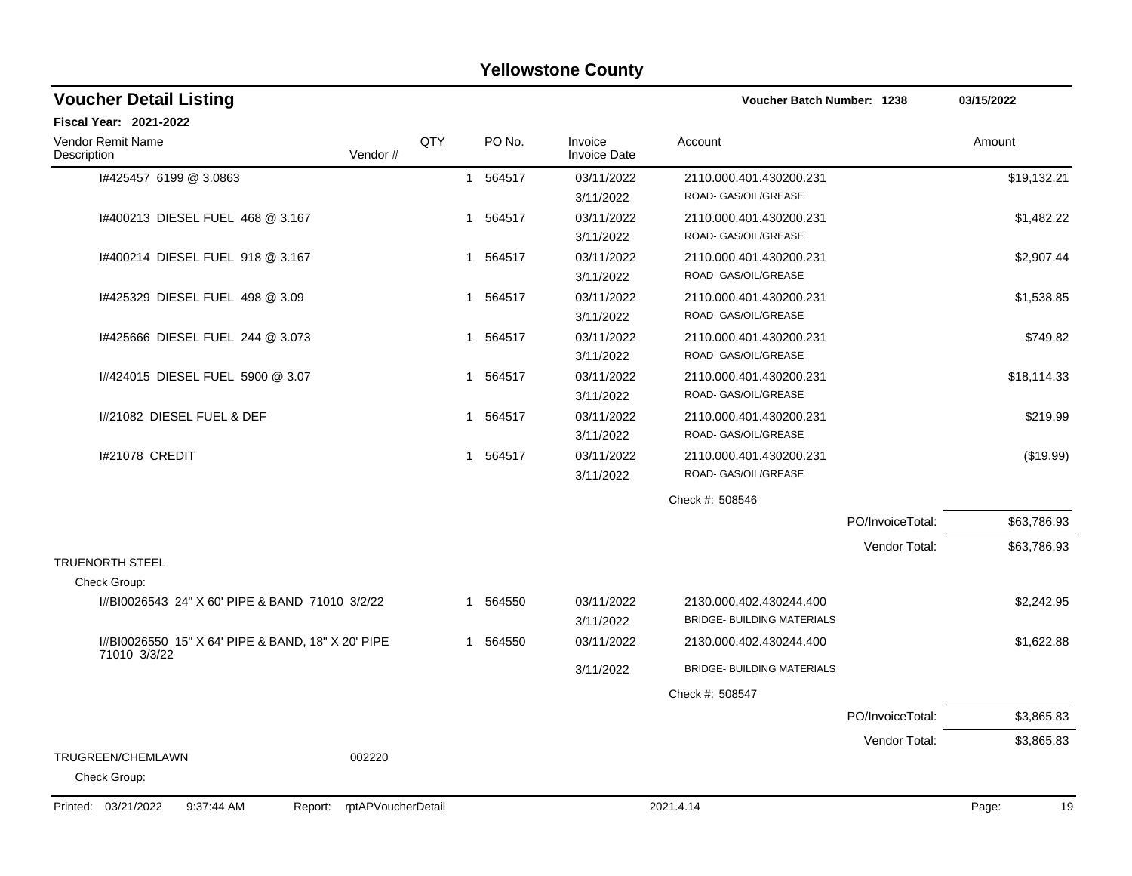| <b>Yellowstone County</b>                                          |     |                        |                                |                                   |                  |             |  |  |  |
|--------------------------------------------------------------------|-----|------------------------|--------------------------------|-----------------------------------|------------------|-------------|--|--|--|
| <b>Voucher Detail Listing</b>                                      |     |                        |                                | <b>Voucher Batch Number: 1238</b> |                  | 03/15/2022  |  |  |  |
| <b>Fiscal Year: 2021-2022</b>                                      |     |                        |                                |                                   |                  |             |  |  |  |
| Vendor Remit Name<br>Vendor#<br>Description                        | QTY | PO No.                 | Invoice<br><b>Invoice Date</b> | Account                           |                  | Amount      |  |  |  |
| I#425457 6199 @ 3.0863                                             |     | 564517<br>$\mathbf{1}$ | 03/11/2022                     | 2110.000.401.430200.231           |                  | \$19,132.21 |  |  |  |
|                                                                    |     |                        | 3/11/2022                      | ROAD- GAS/OIL/GREASE              |                  |             |  |  |  |
| I#400213 DIESEL FUEL 468 @ 3.167                                   |     | 1 564517               | 03/11/2022                     | 2110.000.401.430200.231           |                  | \$1,482.22  |  |  |  |
|                                                                    |     |                        | 3/11/2022                      | ROAD- GAS/OIL/GREASE              |                  |             |  |  |  |
| 1#400214 DIESEL FUEL 918 @ 3.167                                   |     | 564517<br>1            | 03/11/2022                     | 2110.000.401.430200.231           |                  | \$2,907.44  |  |  |  |
|                                                                    |     |                        | 3/11/2022                      | ROAD- GAS/OIL/GREASE              |                  |             |  |  |  |
| 1#425329 DIESEL FUEL 498 @ 3.09                                    |     | 564517<br>1            | 03/11/2022                     | 2110.000.401.430200.231           |                  | \$1,538.85  |  |  |  |
|                                                                    |     |                        | 3/11/2022                      | ROAD- GAS/OIL/GREASE              |                  |             |  |  |  |
| 1#425666 DIESEL FUEL 244 @ 3.073                                   |     | 1 564517               | 03/11/2022                     | 2110.000.401.430200.231           |                  | \$749.82    |  |  |  |
|                                                                    |     |                        | 3/11/2022                      | ROAD- GAS/OIL/GREASE              |                  |             |  |  |  |
| 1#424015 DIESEL FUEL 5900 @ 3.07                                   |     | 564517<br>1            | 03/11/2022                     | 2110.000.401.430200.231           |                  | \$18,114.33 |  |  |  |
|                                                                    |     |                        | 3/11/2022                      | ROAD- GAS/OIL/GREASE              |                  |             |  |  |  |
| I#21082 DIESEL FUEL & DEF                                          |     | 564517<br>1            | 03/11/2022                     | 2110.000.401.430200.231           |                  | \$219.99    |  |  |  |
|                                                                    |     |                        | 3/11/2022                      | ROAD- GAS/OIL/GREASE              |                  |             |  |  |  |
| I#21078 CREDIT                                                     |     | 564517<br>1            | 03/11/2022                     | 2110.000.401.430200.231           |                  | (\$19.99)   |  |  |  |
|                                                                    |     |                        | 3/11/2022                      | ROAD- GAS/OIL/GREASE              |                  |             |  |  |  |
|                                                                    |     |                        |                                | Check #: 508546                   |                  |             |  |  |  |
|                                                                    |     |                        |                                |                                   | PO/InvoiceTotal: | \$63,786.93 |  |  |  |
|                                                                    |     |                        |                                |                                   | Vendor Total:    | \$63,786.93 |  |  |  |
| <b>TRUENORTH STEEL</b>                                             |     |                        |                                |                                   |                  |             |  |  |  |
| Check Group:                                                       |     |                        |                                |                                   |                  |             |  |  |  |
| #BI0026543 24" X 60' PIPE & BAND 71010 3/2/22                      |     | 1 564550               | 03/11/2022                     | 2130.000.402.430244.400           |                  | \$2,242.95  |  |  |  |
|                                                                    |     |                        | 3/11/2022                      | <b>BRIDGE- BUILDING MATERIALS</b> |                  |             |  |  |  |
| I#BI0026550 15" X 64' PIPE & BAND, 18" X 20' PIPE<br>71010 3/3/22  |     | 564550<br>1            | 03/11/2022                     | 2130.000.402.430244.400           |                  | \$1,622.88  |  |  |  |
|                                                                    |     |                        | 3/11/2022                      | BRIDGE- BUILDING MATERIALS        |                  |             |  |  |  |
|                                                                    |     |                        |                                | Check #: 508547                   |                  |             |  |  |  |
|                                                                    |     |                        |                                |                                   | PO/InvoiceTotal: | \$3,865.83  |  |  |  |
|                                                                    |     |                        |                                |                                   | Vendor Total:    | \$3,865.83  |  |  |  |
| TRUGREEN/CHEMLAWN<br>002220<br>Check Group:                        |     |                        |                                |                                   |                  |             |  |  |  |
| Printed: 03/21/2022<br>9:37:44 AM<br>rptAPVoucherDetail<br>Report: |     |                        |                                | 2021.4.14                         |                  | 19<br>Page: |  |  |  |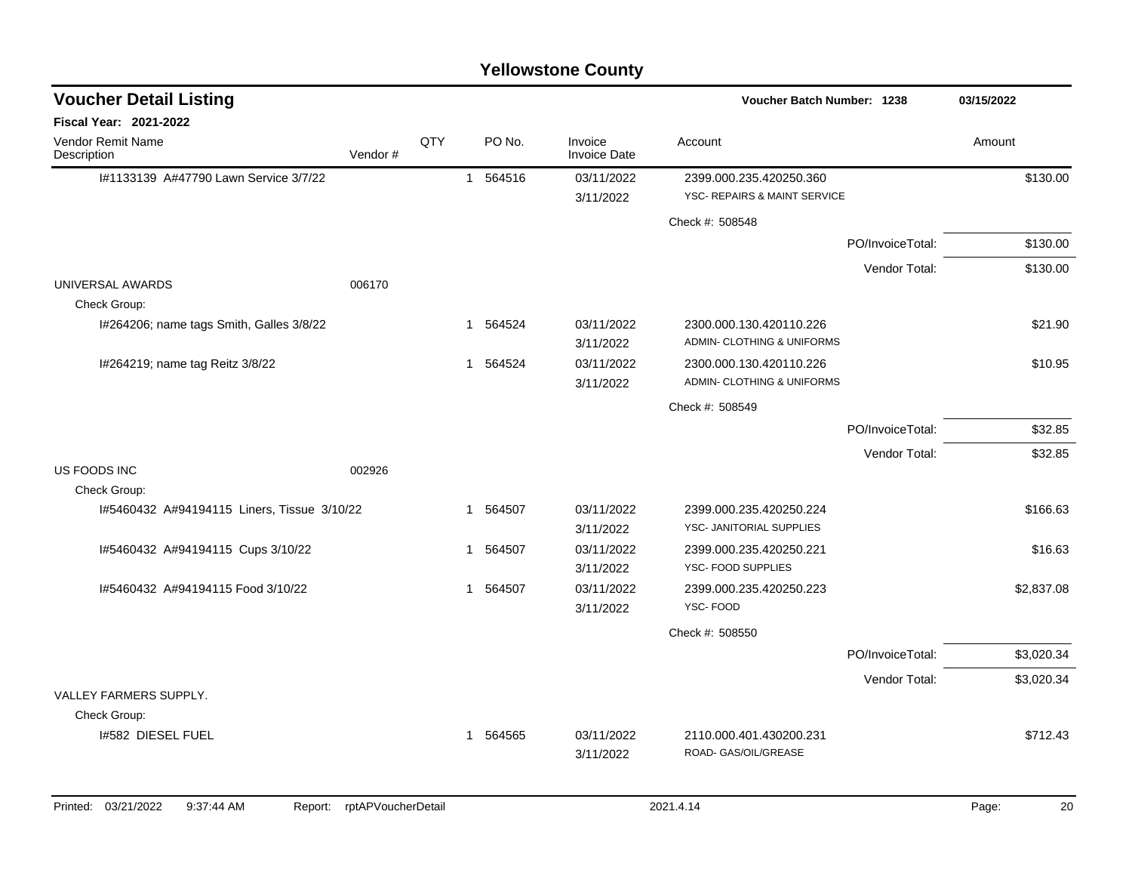| <b>Voucher Detail Listing</b>               |         |     |   |          |                                | Voucher Batch Number: 1238                              |                  | 03/15/2022 |
|---------------------------------------------|---------|-----|---|----------|--------------------------------|---------------------------------------------------------|------------------|------------|
| Fiscal Year: 2021-2022                      |         |     |   |          |                                |                                                         |                  |            |
| Vendor Remit Name<br>Description            | Vendor# | QTY |   | PO No.   | Invoice<br><b>Invoice Date</b> | Account                                                 |                  | Amount     |
| I#1133139 A#47790 Lawn Service 3/7/22       |         |     |   | 1 564516 | 03/11/2022<br>3/11/2022        | 2399.000.235.420250.360<br>YSC- REPAIRS & MAINT SERVICE |                  | \$130.00   |
|                                             |         |     |   |          |                                | Check #: 508548                                         |                  |            |
|                                             |         |     |   |          |                                |                                                         | PO/InvoiceTotal: | \$130.00   |
|                                             |         |     |   |          |                                |                                                         | Vendor Total:    | \$130.00   |
| UNIVERSAL AWARDS                            | 006170  |     |   |          |                                |                                                         |                  |            |
| Check Group:                                |         |     |   |          |                                |                                                         |                  |            |
| I#264206; name tags Smith, Galles 3/8/22    |         |     |   | 1 564524 | 03/11/2022                     | 2300.000.130.420110.226                                 |                  | \$21.90    |
|                                             |         |     |   |          | 3/11/2022                      | ADMIN- CLOTHING & UNIFORMS                              |                  |            |
| I#264219; name tag Reitz 3/8/22             |         |     |   | 1 564524 | 03/11/2022                     | 2300.000.130.420110.226                                 |                  | \$10.95    |
|                                             |         |     |   |          | 3/11/2022                      | ADMIN- CLOTHING & UNIFORMS                              |                  |            |
|                                             |         |     |   |          |                                | Check #: 508549                                         |                  |            |
|                                             |         |     |   |          |                                |                                                         | PO/InvoiceTotal: | \$32.85    |
|                                             |         |     |   |          |                                |                                                         | Vendor Total:    | \$32.85    |
| US FOODS INC                                | 002926  |     |   |          |                                |                                                         |                  |            |
| Check Group:                                |         |     |   |          |                                |                                                         |                  |            |
| I#5460432 A#94194115 Liners, Tissue 3/10/22 |         |     |   | 1 564507 | 03/11/2022                     | 2399.000.235.420250.224                                 |                  | \$166.63   |
|                                             |         |     |   |          | 3/11/2022                      | YSC- JANITORIAL SUPPLIES                                |                  |            |
| I#5460432 A#94194115 Cups 3/10/22           |         |     | 1 | 564507   | 03/11/2022                     | 2399.000.235.420250.221                                 |                  | \$16.63    |
|                                             |         |     |   |          | 3/11/2022                      | YSC- FOOD SUPPLIES                                      |                  |            |
| I#5460432 A#94194115 Food 3/10/22           |         |     |   | 1 564507 | 03/11/2022                     | 2399.000.235.420250.223                                 |                  | \$2,837.08 |
|                                             |         |     |   |          | 3/11/2022                      | YSC-FOOD                                                |                  |            |
|                                             |         |     |   |          |                                | Check #: 508550                                         |                  |            |
|                                             |         |     |   |          |                                |                                                         | PO/InvoiceTotal: | \$3,020.34 |
|                                             |         |     |   |          |                                |                                                         | Vendor Total:    | \$3,020.34 |
| VALLEY FARMERS SUPPLY.                      |         |     |   |          |                                |                                                         |                  |            |
| Check Group:                                |         |     |   |          |                                |                                                         |                  |            |
| 1#582 DIESEL FUEL                           |         |     |   | 1 564565 | 03/11/2022                     | 2110.000.401.430200.231                                 |                  | \$712.43   |
|                                             |         |     |   |          | 3/11/2022                      | ROAD- GAS/OIL/GREASE                                    |                  |            |
|                                             |         |     |   |          |                                |                                                         |                  |            |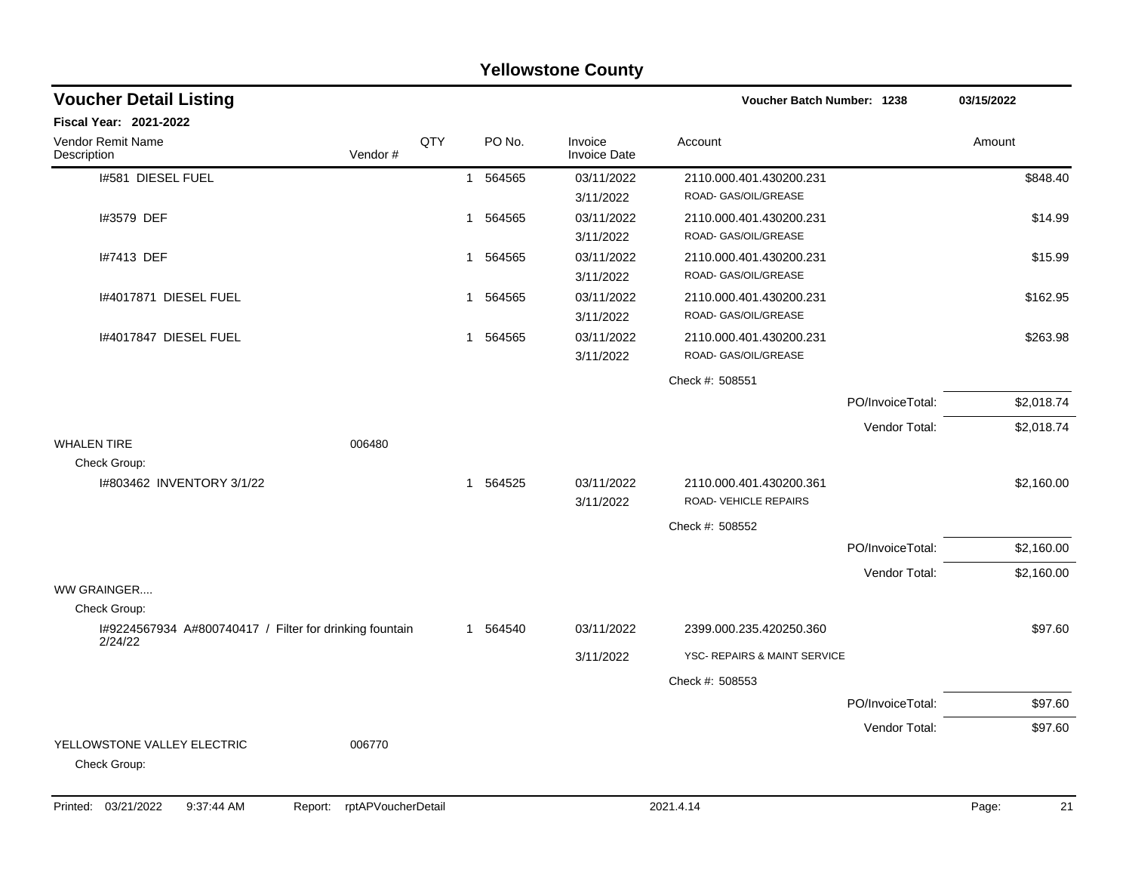| <b>Yellowstone County</b>                               |         |              |          |                                |                                                         |                  |            |  |  |
|---------------------------------------------------------|---------|--------------|----------|--------------------------------|---------------------------------------------------------|------------------|------------|--|--|
| <b>Voucher Detail Listing</b>                           |         |              |          |                                | Voucher Batch Number: 1238                              |                  | 03/15/2022 |  |  |
| <b>Fiscal Year: 2021-2022</b>                           |         |              |          |                                |                                                         |                  |            |  |  |
| <b>Vendor Remit Name</b><br>Description                 | Vendor# | QTY          | PO No.   | Invoice<br><b>Invoice Date</b> | Account                                                 |                  | Amount     |  |  |
| I#581 DIESEL FUEL                                       |         |              | 1 564565 | 03/11/2022<br>3/11/2022        | 2110.000.401.430200.231<br>ROAD- GAS/OIL/GREASE         |                  | \$848.40   |  |  |
| I#3579 DEF                                              |         | $\mathbf{1}$ | 564565   | 03/11/2022<br>3/11/2022        | 2110.000.401.430200.231<br>ROAD- GAS/OIL/GREASE         |                  | \$14.99    |  |  |
| I#7413 DEF                                              |         | $\mathbf{1}$ | 564565   | 03/11/2022<br>3/11/2022        | 2110.000.401.430200.231<br>ROAD- GAS/OIL/GREASE         |                  | \$15.99    |  |  |
| 1#4017871 DIESEL FUEL                                   |         | $\mathbf 1$  | 564565   | 03/11/2022<br>3/11/2022        | 2110.000.401.430200.231<br>ROAD- GAS/OIL/GREASE         |                  | \$162.95   |  |  |
| 1#4017847 DIESEL FUEL                                   |         | $\mathbf{1}$ | 564565   | 03/11/2022<br>3/11/2022        | 2110.000.401.430200.231<br>ROAD- GAS/OIL/GREASE         |                  | \$263.98   |  |  |
|                                                         |         |              |          |                                | Check #: 508551                                         |                  |            |  |  |
|                                                         |         |              |          |                                |                                                         | PO/InvoiceTotal: | \$2,018.74 |  |  |
|                                                         |         |              |          |                                |                                                         | Vendor Total:    | \$2,018.74 |  |  |
| <b>WHALEN TIRE</b><br>Check Group:                      | 006480  |              |          |                                |                                                         |                  |            |  |  |
| I#803462 INVENTORY 3/1/22                               |         |              | 1 564525 | 03/11/2022<br>3/11/2022        | 2110.000.401.430200.361<br><b>ROAD- VEHICLE REPAIRS</b> |                  | \$2,160.00 |  |  |
|                                                         |         |              |          |                                | Check #: 508552                                         |                  |            |  |  |
|                                                         |         |              |          |                                |                                                         | PO/InvoiceTotal: | \$2,160.00 |  |  |
|                                                         |         |              |          |                                |                                                         | Vendor Total:    | \$2,160.00 |  |  |
| WW GRAINGER<br>Check Group:                             |         |              |          |                                |                                                         |                  |            |  |  |
| I#9224567934 A#800740417 / Filter for drinking fountain |         |              | 1 564540 | 03/11/2022                     | 2399.000.235.420250.360                                 |                  | \$97.60    |  |  |
| 2/24/22                                                 |         |              |          | 3/11/2022                      | YSC- REPAIRS & MAINT SERVICE                            |                  |            |  |  |
|                                                         |         |              |          |                                | Check #: 508553                                         |                  |            |  |  |
|                                                         |         |              |          |                                |                                                         | PO/InvoiceTotal: | \$97.60    |  |  |
|                                                         |         |              |          |                                |                                                         | Vendor Total:    | \$97.60    |  |  |
| YELLOWSTONE VALLEY ELECTRIC<br>Check Group:             | 006770  |              |          |                                |                                                         |                  |            |  |  |